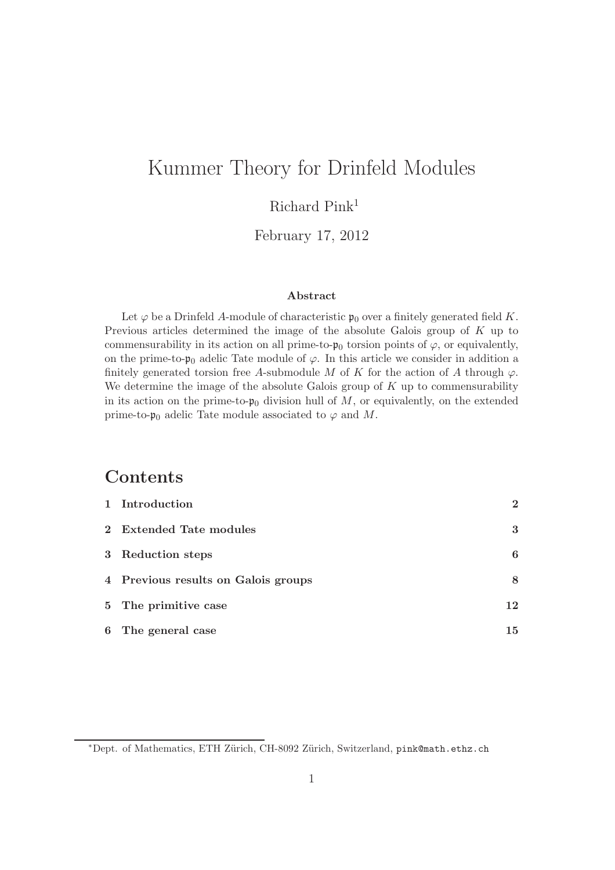# Kummer Theory for Drinfeld Modules

## Richard Pink<sup>1</sup>

#### February 17, 2012

#### Abstract

Let  $\varphi$  be a Drinfeld A-module of characteristic  $\mathfrak{p}_0$  over a finitely generated field K. Previous articles determined the image of the absolute Galois group of K up to commensurability in its action on all prime-to- $\mathfrak{p}_0$  torsion points of  $\varphi$ , or equivalently, on the prime-to- $\mathfrak{p}_0$  adelic Tate module of  $\varphi$ . In this article we consider in addition a finitely generated torsion free A-submodule M of K for the action of A through  $\varphi$ . We determine the image of the absolute Galois group of  $K$  up to commensurability in its action on the prime-to- $\mathfrak{p}_0$  division hull of M, or equivalently, on the extended prime-to- $\mathfrak{p}_0$  adelic Tate module associated to  $\varphi$  and M.

### Contents

| 1 Introduction                      | $\mathbf{2}$ |
|-------------------------------------|--------------|
| 2 Extended Tate modules             | 3            |
| 3 Reduction steps                   | 6            |
| 4 Previous results on Galois groups | 8            |
| 5 The primitive case                | 12           |
| 6 The general case                  | 15           |

<sup>∗</sup>Dept. of Mathematics, ETH Z¨urich, CH-8092 Z¨urich, Switzerland, pink@math.ethz.ch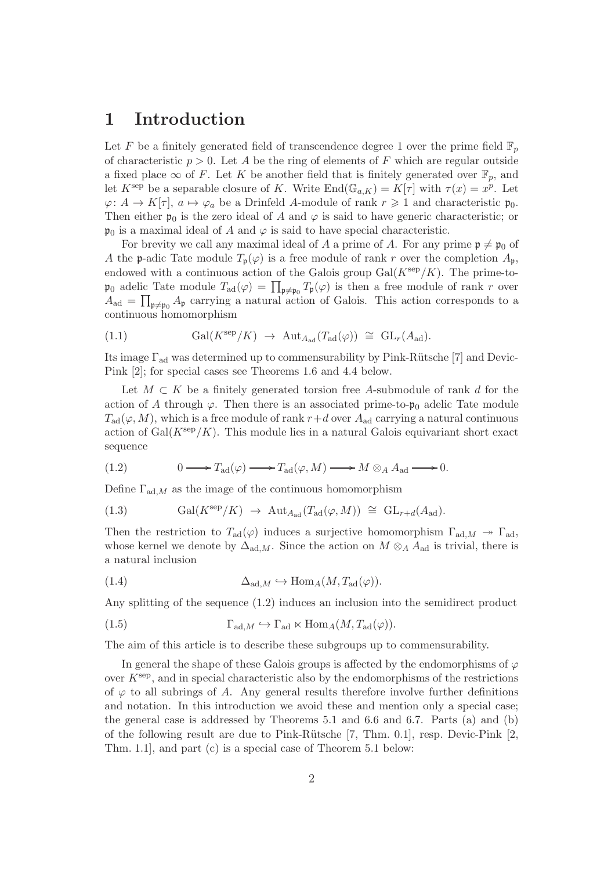#### 1 Introduction

Let F be a finitely generated field of transcendence degree 1 over the prime field  $\mathbb{F}_p$ of characteristic  $p > 0$ . Let A be the ring of elements of F which are regular outside a fixed place  $\infty$  of F. Let K be another field that is finitely generated over  $\mathbb{F}_p$ , and let  $K^{\text{sep}}$  be a separable closure of K. Write  $\text{End}(\mathbb{G}_{a,K}) = K[\tau]$  with  $\tau(x) = x^p$ . Let  $\varphi: A \to K[\tau], a \mapsto \varphi_a$  be a Drinfeld A-module of rank  $r \geq 1$  and characteristic  $\mathfrak{p}_0$ . Then either  $\mathfrak{p}_0$  is the zero ideal of A and  $\varphi$  is said to have generic characteristic; or  $\mathfrak{p}_0$  is a maximal ideal of A and  $\varphi$  is said to have special characteristic.

For brevity we call any maximal ideal of A a prime of A. For any prime  $\mathfrak{p} \neq \mathfrak{p}_0$  of A the p-adic Tate module  $T_p(\varphi)$  is a free module of rank r over the completion  $A_p$ , endowed with a continuous action of the Galois group  $Gal(K^{\text{sep}}/K)$ . The prime-to- $\mathfrak{p}_0$  adelic Tate module  $T_{\text{ad}}(\varphi) = \prod_{\mathfrak{p} \neq \mathfrak{p}_0} T_{\mathfrak{p}}(\varphi)$  is then a free module of rank r over  $A_{\text{ad}} = \prod_{\mathfrak{p} \neq \mathfrak{p}_0} A_{\mathfrak{p}}$  carrying a natural action of Galois. This action corresponds to a continuous homomorphism

(1.1) 
$$
\text{Gal}(K^{\text{sep}}/K) \rightarrow \text{Aut}_{A_{\text{ad}}}(T_{\text{ad}}(\varphi)) \cong \text{GL}_r(A_{\text{ad}}).
$$

Its image  $\Gamma_{\text{ad}}$  was determined up to commensurability by Pink-Rütsche [7] and Devic-Pink [2]; for special cases see Theorems 1.6 and 4.4 below.

Let  $M \subset K$  be a finitely generated torsion free A-submodule of rank d for the action of A through  $\varphi$ . Then there is an associated prime-to- $\mathfrak{p}_0$  adelic Tate module  $T_{\rm ad}(\varphi, M)$ , which is a free module of rank  $r+d$  over  $A_{\rm ad}$  carrying a natural continuous action of  $Gal(K<sup>sep</sup>/K)$ . This module lies in a natural Galois equivariant short exact sequence

(1.2) 
$$
0 \longrightarrow T_{\text{ad}}(\varphi) \longrightarrow T_{\text{ad}}(\varphi, M) \longrightarrow M \otimes_A A_{\text{ad}} \longrightarrow 0.
$$

Define  $\Gamma_{\text{ad},M}$  as the image of the continuous homomorphism

(1.3) 
$$
\text{Gal}(K^{\text{sep}}/K) \rightarrow \text{Aut}_{A_{\text{ad}}}(T_{\text{ad}}(\varphi, M)) \cong \text{GL}_{r+d}(A_{\text{ad}}).
$$

Then the restriction to  $T_{\rm ad}(\varphi)$  induces a surjective homomorphism  $\Gamma_{\rm ad,M} \rightarrow \Gamma_{\rm ad}$ , whose kernel we denote by  $\Delta_{\text{ad},M}$ . Since the action on  $M \otimes_A A_{\text{ad}}$  is trivial, there is a natural inclusion

(1.4) 
$$
\Delta_{\text{ad},M} \hookrightarrow \text{Hom}_A(M, T_{\text{ad}}(\varphi)).
$$

Any splitting of the sequence (1.2) induces an inclusion into the semidirect product

(1.5) 
$$
\Gamma_{\text{ad},M} \hookrightarrow \Gamma_{\text{ad}} \ltimes \text{Hom}_{A}(M, T_{\text{ad}}(\varphi)).
$$

The aim of this article is to describe these subgroups up to commensurability.

In general the shape of these Galois groups is affected by the endomorphisms of  $\varphi$ over  $K^{\text{sep}}$ , and in special characteristic also by the endomorphisms of the restrictions of  $\varphi$  to all subrings of A. Any general results therefore involve further definitions and notation. In this introduction we avoid these and mention only a special case; the general case is addressed by Theorems 5.1 and 6.6 and 6.7. Parts (a) and (b) of the following result are due to Pink-Rütsche  $[7, Thm. 0.1]$ , resp. Devic-Pink  $[2,$ Thm. 1.1], and part (c) is a special case of Theorem 5.1 below: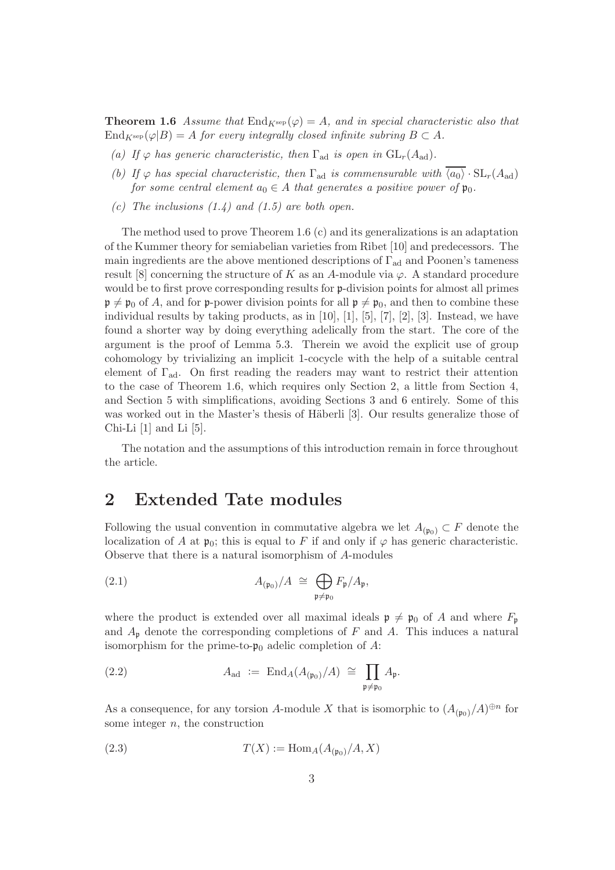**Theorem 1.6** Assume that  $\text{End}_{K^{\text{sep}}}(\varphi) = A$ , and in special characteristic also that  $\text{End}_{K^{\text{sep}}}(\varphi|B) = A$  for every integrally closed infinite subring  $B \subset A$ .

- (a) If  $\varphi$  has generic characteristic, then  $\Gamma_{\text{ad}}$  is open in  $GL_r(A_{\text{ad}})$ .
- (b) If  $\varphi$  has special characteristic, then  $\Gamma_{ad}$  is commensurable with  $\langle a_0 \rangle \cdot SL_r(A_{ad})$ for some central element  $a_0 \in A$  that generates a positive power of  $\mathfrak{p}_0$ .
- (c) The inclusions  $(1.4)$  and  $(1.5)$  are both open.

The method used to prove Theorem 1.6 (c) and its generalizations is an adaptation of the Kummer theory for semiabelian varieties from Ribet [10] and predecessors. The main ingredients are the above mentioned descriptions of  $\Gamma_{\text{ad}}$  and Poonen's tameness result [8] concerning the structure of K as an A-module via  $\varphi$ . A standard procedure would be to first prove corresponding results for p-division points for almost all primes  $\mathfrak{p} \neq \mathfrak{p}_0$  of A, and for p-power division points for all  $\mathfrak{p} \neq \mathfrak{p}_0$ , and then to combine these individual results by taking products, as in [10], [1], [5], [7], [2], [3]. Instead, we have found a shorter way by doing everything adelically from the start. The core of the argument is the proof of Lemma 5.3. Therein we avoid the explicit use of group cohomology by trivializing an implicit 1-cocycle with the help of a suitable central element of  $\Gamma_{\text{ad}}$ . On first reading the readers may want to restrict their attention to the case of Theorem 1.6, which requires only Section 2, a little from Section 4, and Section 5 with simplifications, avoiding Sections 3 and 6 entirely. Some of this was worked out in the Master's thesis of Häberli [3]. Our results generalize those of Chi-Li [1] and Li [5].

The notation and the assumptions of this introduction remain in force throughout the article.

#### 2 Extended Tate modules

Following the usual convention in commutative algebra we let  $A_{(\mathfrak{p}_0)} \subset F$  denote the localization of A at  $\mathfrak{p}_0$ ; this is equal to F if and only if  $\varphi$  has generic characteristic. Observe that there is a natural isomorphism of A-modules

(2.1) 
$$
A_{(\mathfrak{p}_0)}/A \cong \bigoplus_{\mathfrak{p} \neq \mathfrak{p}_0} F_{\mathfrak{p}}/A_{\mathfrak{p}},
$$

where the product is extended over all maximal ideals  $\mathfrak{p} \neq \mathfrak{p}_0$  of A and where  $F_{\mathfrak{p}}$ and  $A_{\mathfrak{p}}$  denote the corresponding completions of F and A. This induces a natural isomorphism for the prime-to- $\mathfrak{p}_0$  adelic completion of A:

(2.2) 
$$
A_{\text{ad}} := \operatorname{End}_A(A_{(\mathfrak{p}_0)}/A) \cong \prod_{\mathfrak{p} \neq \mathfrak{p}_0} A_{\mathfrak{p}}.
$$

As a consequence, for any torsion A-module X that is isomorphic to  $(A_{(\mathfrak{p}_0)}/A)^{\oplus n}$  for some integer  $n$ , the construction

$$
(2.3) \t\t T(X) := \text{Hom}_A(A_{(\mathfrak{p}_0)}/A, X)
$$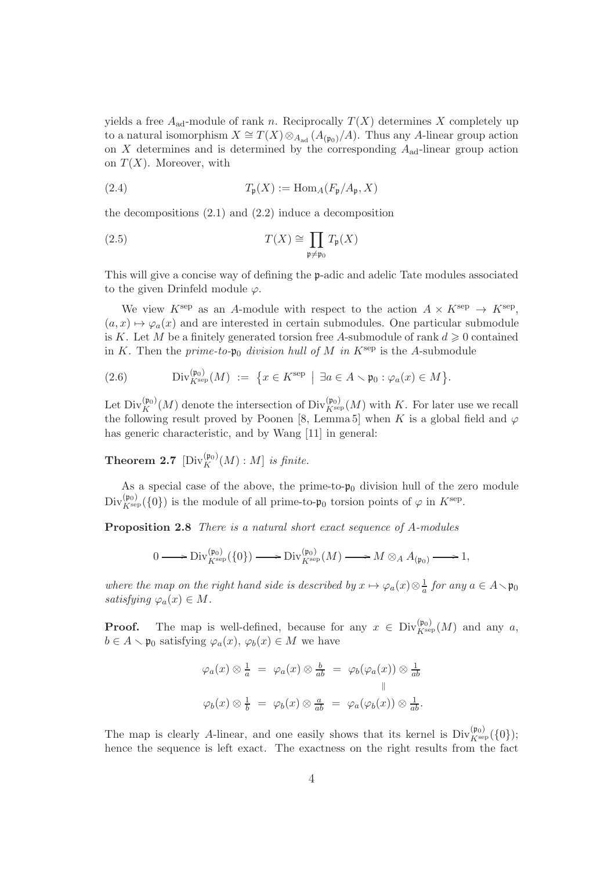yields a free  $A_{ad}$ -module of rank n. Reciprocally  $T(X)$  determines X completely up to a natural isomorphism  $X \cong T(X) \otimes_{A_{ad}} (A_{(p_0)}/A)$ . Thus any A-linear group action on  $X$  determines and is determined by the corresponding  $A_{ad}$ -linear group action on  $T(X)$ . Moreover, with

(2.4) 
$$
T_{\mathfrak{p}}(X) := \text{Hom}_{A}(F_{\mathfrak{p}}/A_{\mathfrak{p}}, X)
$$

the decompositions  $(2.1)$  and  $(2.2)$  induce a decomposition

(2.5) 
$$
T(X) \cong \prod_{\mathfrak{p} \neq \mathfrak{p}_0} T_{\mathfrak{p}}(X)
$$

This will give a concise way of defining the p-adic and adelic Tate modules associated to the given Drinfeld module  $\varphi$ .

We view  $K^{\text{sep}}$  as an A-module with respect to the action  $A \times K^{\text{sep}} \to K^{\text{sep}}$ ,  $(a, x) \mapsto \varphi_a(x)$  and are interested in certain submodules. One particular submodule is K. Let M be a finitely generated torsion free A-submodule of rank  $d \geq 0$  contained in K. Then the prime-to- $\mathfrak{p}_0$  division hull of M in  $K^{\text{sep}}$  is the A-submodule

(2.6) 
$$
\text{Div}_{K^{\text{sep}}}(M) := \{ x \in K^{\text{sep}} \mid \exists a \in A \setminus \mathfrak{p}_0 : \varphi_a(x) \in M \}.
$$

Let  $\text{Div}_K^{(\frak{p}_0)}(M)$  denote the intersection of  $\text{Div}_{K^{\text{sep}}}(M)$  with K. For later use we recall the following result proved by Poonen [8, Lemma 5] when K is a global field and  $\varphi$ has generic characteristic, and by Wang [11] in general:

**Theorem 2.7**  $[\text{Div}_K^{(\mathfrak{p}_0)}(M):M]$  is finite.

As a special case of the above, the prime-to- $\mathfrak{p}_0$  division hull of the zero module  $\text{Div}_{K^{\text{sep}}}^{(\mathfrak{p}_0)}(\{0\})$  is the module of all prime-to- $\mathfrak{p}_0$  torsion points of  $\varphi$  in  $K^{\text{sep}}$ .

Proposition 2.8 There is a natural short exact sequence of A-modules

$$
0 \longrightarrow \mathrm{Div}_{K^{\mathrm{sep}}}^{(\mathfrak{p}_0)}(\{0\}) \longrightarrow \mathrm{Div}_{K^{\mathrm{sep}}}^{(\mathfrak{p}_0)}(M) \longrightarrow M \otimes_A A_{(\mathfrak{p}_0)} \longrightarrow 1,
$$

where the map on the right hand side is described by  $x \mapsto \varphi_a(x) \otimes \frac{1}{a}$  $\frac{1}{a}$  for any  $a \in A \setminus \mathfrak{p}_0$ satisfying  $\varphi_a(x) \in M$ .

**Proof.** The map is well-defined, because for any  $x \in Div_{K^{\text{sep}}}^{(\mathfrak{p}_0)}(M)$  and any a,  $b \in A \setminus \mathfrak{p}_0$  satisfying  $\varphi_a(x), \varphi_b(x) \in M$  we have

$$
\varphi_a(x) \otimes \frac{1}{a} = \varphi_a(x) \otimes \frac{b}{ab} = \varphi_b(\varphi_a(x)) \otimes \frac{1}{ab}
$$
  

$$
\varphi_b(x) \otimes \frac{1}{b} = \varphi_b(x) \otimes \frac{a}{ab} = \varphi_a(\varphi_b(x)) \otimes \frac{1}{ab}.
$$

The map is clearly A-linear, and one easily shows that its kernel is  $Div_{K^{\text{sep}}}^{(\mathfrak{p}_0)}(\{0\});$ hence the sequence is left exact. The exactness on the right results from the fact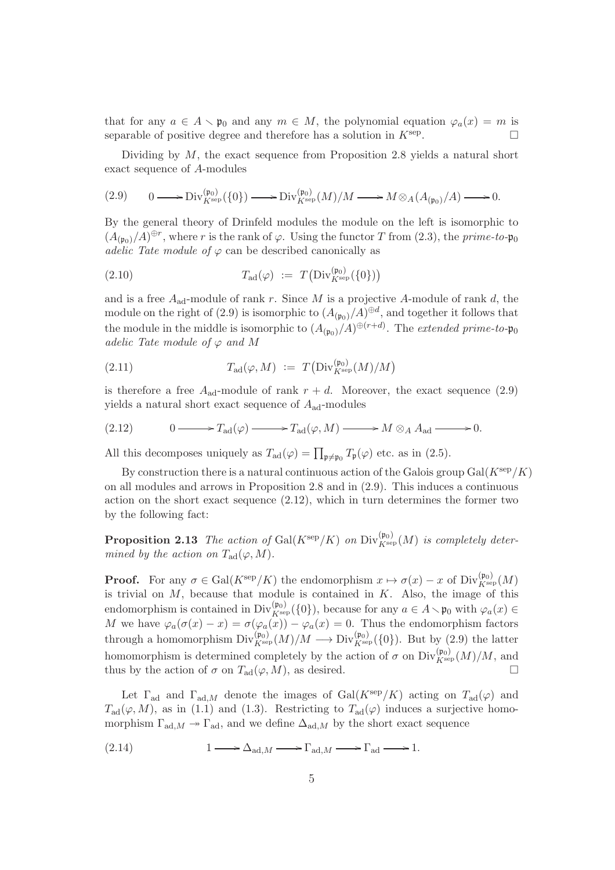that for any  $a \in A \setminus \mathfrak{p}_0$  and any  $m \in M$ , the polynomial equation  $\varphi_a(x) = m$  is separable of positive degree and therefore has a solution in  $K^{\text{sep}}$ . .

Dividing by  $M$ , the exact sequence from Proposition 2.8 yields a natural short exact sequence of A-modules

$$
(2.9) \qquad 0 \longrightarrow \text{Div}_{K^{\text{sep}}}^{(\mathfrak{p}_0)}(\{0\}) \longrightarrow \text{Div}_{K^{\text{sep}}}^{(\mathfrak{p}_0)}(M)/M \longrightarrow M \otimes_A (A_{(\mathfrak{p}_0)}/A) \longrightarrow 0.
$$

By the general theory of Drinfeld modules the module on the left is isomorphic to  $(A_{(\mathfrak{p}_0)}/A)^{\oplus r}$ , where r is the rank of  $\varphi$ . Using the functor T from (2.3), the prime-to- $\mathfrak{p}_0$ adelic Tate module of  $\varphi$  can be described canonically as

(2.10) 
$$
T_{\text{ad}}(\varphi) := T\left(\text{Div}_{K^{\text{sep}}}^{(\mathfrak{p}_0)}(\{0\})\right)
$$

and is a free  $A_{ad}$ -module of rank r. Since M is a projective A-module of rank d, the module on the right of (2.9) is isomorphic to  $(A_{(\mathfrak{p}_0)}/A)^{\oplus d}$ , and together it follows that the module in the middle is isomorphic to  $(A_{(\mathfrak{p}_0)}/A)^{\oplus (r+d)}$ . The *extended prime-to-* $\mathfrak{p}_0$ adelic Tate module of  $\varphi$  and M

(2.11) 
$$
T_{\text{ad}}(\varphi, M) := T\left(\text{Div}_{K^{\text{sep}}}^{(\mathfrak{p}_0)}(M)/M\right)
$$

is therefore a free  $A_{ad}$ -module of rank  $r + d$ . Moreover, the exact sequence (2.9) yields a natural short exact sequence of  $A_{\text{ad}}$ -modules

(2.12) 
$$
0 \longrightarrow T_{\text{ad}}(\varphi) \longrightarrow T_{\text{ad}}(\varphi, M) \longrightarrow M \otimes_A A_{\text{ad}} \longrightarrow 0.
$$

All this decomposes uniquely as  $T_{\text{ad}}(\varphi) = \prod_{\mathfrak{p} \neq \mathfrak{p}_0} T_{\mathfrak{p}}(\varphi)$  etc. as in (2.5).

By construction there is a natural continuous action of the Galois group  $Gal(K^{\text{sep}}/K)$ on all modules and arrows in Proposition 2.8 and in (2.9). This induces a continuous action on the short exact sequence  $(2.12)$ , which in turn determines the former two by the following fact:

**Proposition 2.13** The action of  $Gal(K^{\text{sep}}/K)$  on  $Div_{K^{\text{sep}}}(M)$  is completely determined by the action on  $T_{\text{ad}}(\varphi, M)$ .

**Proof.** For any  $\sigma \in \text{Gal}(K^{\text{sep}}/K)$  the endomorphism  $x \mapsto \sigma(x) - x$  of  $\text{Div}_{K^{\text{sep}}}(M)$ is trivial on  $M$ , because that module is contained in  $K$ . Also, the image of this endomorphism is contained in Div $\chi_{\text{sep}}^{(\mathfrak{p}_0)}(\{0\})$ , because for any  $a \in A \setminus \mathfrak{p}_0$  with  $\varphi_a(x) \in$ M we have  $\varphi_a(\sigma(x) - x) = \sigma(\varphi_a(x)) - \varphi_a(x) = 0$ . Thus the endomorphism factors through a homomorphism  $Div_{K^{\text{sep}}}^{(\mathfrak{p}_0)}(M)/M \longrightarrow Div_{K^{\text{sep}}}^{(\mathfrak{p}_0)}(\{0\})$ . But by (2.9) the latter homomorphism is determined completely by the action of  $\sigma$  on  $\text{Div}_{K^{\text{sep}}}(M)/M$ , and thus by the action of  $\sigma$  on  $T_{\text{ad}}(\varphi, M)$ , as desired.

Let  $\Gamma_{\text{ad}}$  and  $\Gamma_{\text{ad},M}$  denote the images of  $\text{Gal}(K^{\text{sep}}/K)$  acting on  $T_{\text{ad}}(\varphi)$  and  $T_{\rm ad}(\varphi, M)$ , as in (1.1) and (1.3). Restricting to  $T_{\rm ad}(\varphi)$  induces a surjective homomorphism  $\Gamma_{\text{ad},M} \to \Gamma_{\text{ad}}$ , and we define  $\Delta_{\text{ad},M}$  by the short exact sequence

$$
(2.14) \t1 \longrightarrow \Delta_{\mathrm{ad},M} \longrightarrow \Gamma_{\mathrm{ad},M} \longrightarrow \Gamma_{\mathrm{ad}} \longrightarrow 1.
$$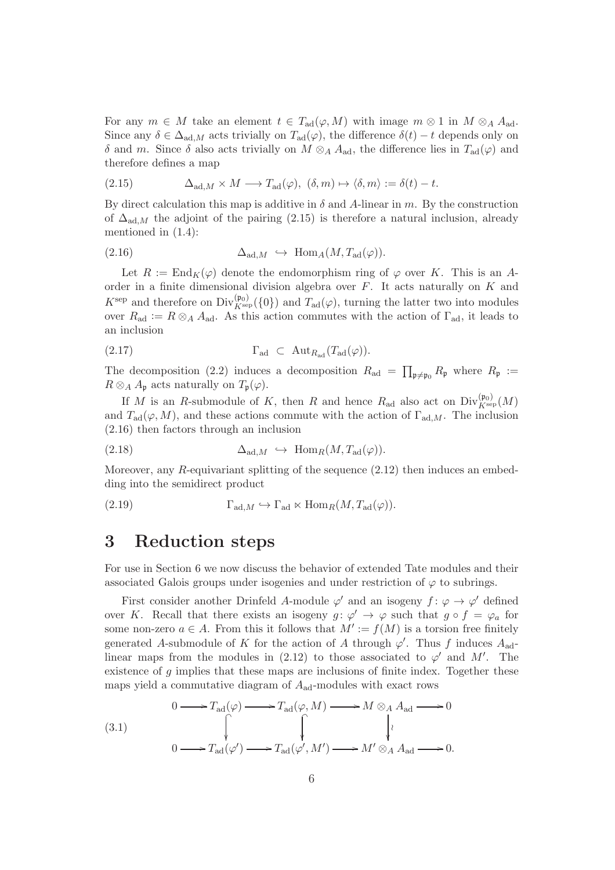For any  $m \in M$  take an element  $t \in T_{\text{ad}}(\varphi, M)$  with image  $m \otimes 1$  in  $M \otimes_A A_{\text{ad}}$ . Since any  $\delta \in \Delta_{ad,M}$  acts trivially on  $T_{ad}(\varphi)$ , the difference  $\delta(t) - t$  depends only on δ and m. Since δ also acts trivially on  $M \otimes_A A_{ad}$ , the difference lies in  $T_{ad}(\varphi)$  and therefore defines a map

(2.15) 
$$
\Delta_{\mathrm{ad},M} \times M \longrightarrow T_{\mathrm{ad}}(\varphi), \ (\delta, m) \mapsto \langle \delta, m \rangle := \delta(t) - t.
$$

By direct calculation this map is additive in  $\delta$  and A-linear in m. By the construction of  $\Delta_{\text{ad},M}$  the adjoint of the pairing (2.15) is therefore a natural inclusion, already mentioned in (1.4):

$$
(2.16) \qquad \Delta_{\text{ad},M} \hookrightarrow \text{Hom}_A(M, T_{\text{ad}}(\varphi)).
$$

Let  $R := \text{End}_K(\varphi)$  denote the endomorphism ring of  $\varphi$  over K. This is an Aorder in a finite dimensional division algebra over  $F$ . It acts naturally on  $K$  and  $K^{\text{sep}}$  and therefore on  $\text{Div}_{K^{\text{sep}}}^{(\mathfrak{p}_0)}(\{0\})$  and  $T_{\text{ad}}(\varphi)$ , turning the latter two into modules over  $R_{\text{ad}} := R \otimes_A A_{\text{ad}}$ . As this action commutes with the action of  $\Gamma_{\text{ad}}$ , it leads to an inclusion

(2.17) 
$$
\Gamma_{\text{ad}} \subset \text{Aut}_{R_{\text{ad}}}(T_{\text{ad}}(\varphi)).
$$

The decomposition (2.2) induces a decomposition  $R_{\text{ad}} = \prod_{\mathfrak{p} \neq \mathfrak{p}_0} R_{\mathfrak{p}}$  where  $R_{\mathfrak{p}} :=$  $R \otimes_A A_{\mathfrak{p}}$  acts naturally on  $T_{\mathfrak{p}}(\varphi)$ .

If M is an R-submodule of K, then R and hence  $R_{\text{ad}}$  also act on  $\text{Div}_{K^{\text{sep}}}(M)$ and  $T_{\text{ad}}(\varphi, M)$ , and these actions commute with the action of  $\Gamma_{\text{ad},M}$ . The inclusion (2.16) then factors through an inclusion

(2.18) 
$$
\Delta_{\text{ad},M} \hookrightarrow \text{Hom}_R(M, T_{\text{ad}}(\varphi)).
$$

Moreover, any  $R$ -equivariant splitting of the sequence  $(2.12)$  then induces an embedding into the semidirect product

(2.19) 
$$
\Gamma_{\text{ad},M} \hookrightarrow \Gamma_{\text{ad}} \ltimes \text{Hom}_R(M, T_{\text{ad}}(\varphi)).
$$

#### 3 Reduction steps

For use in Section 6 we now discuss the behavior of extended Tate modules and their associated Galois groups under isogenies and under restriction of  $\varphi$  to subrings.

First consider another Drinfeld A-module  $\varphi'$  and an isogeny  $f: \varphi \to \varphi'$  defined over K. Recall that there exists an isogeny  $g: \varphi' \to \varphi$  such that  $g \circ f = \varphi_a$  for some non-zero  $a \in A$ . From this it follows that  $M' := f(M)$  is a torsion free finitely generated A-submodule of K for the action of A through  $\varphi'$ . Thus f induces  $A_{\text{ad}}$ linear maps from the modules in (2.12) to those associated to  $\varphi'$  and M'. The existence of  $g$  implies that these maps are inclusions of finite index. Together these maps yield a commutative diagram of  $A_{\text{ad}}$ -modules with exact rows

(3.1)  
\n
$$
0 \longrightarrow T_{\text{ad}}(\varphi) \longrightarrow T_{\text{ad}}(\varphi, M) \longrightarrow M \otimes_A A_{\text{ad}} \longrightarrow 0
$$
\n
$$
\downarrow \qquad \qquad \downarrow
$$
\n
$$
0 \longrightarrow T_{\text{ad}}(\varphi') \longrightarrow T_{\text{ad}}(\varphi', M') \longrightarrow M' \otimes_A A_{\text{ad}} \longrightarrow 0.
$$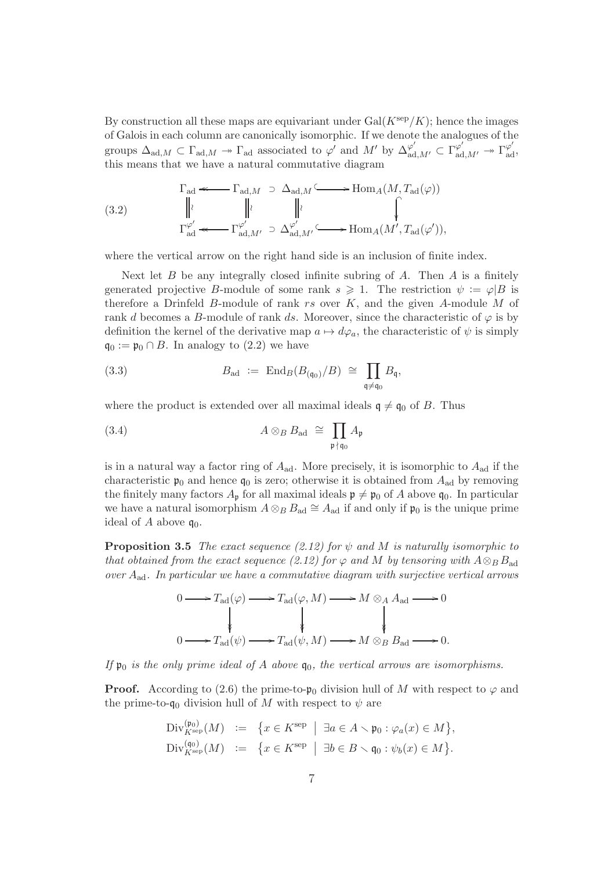By construction all these maps are equivariant under  $Gal(K<sup>sep</sup>/K)$ ; hence the images of Galois in each column are canonically isomorphic. If we denote the analogues of the groups  $\Delta_{\text{ad},M} \subset \Gamma_{\text{ad},M} \to \Gamma_{\text{ad}}$  associated to  $\varphi'$  and  $M'$  by  $\Delta_{\text{ad},M'}^{\varphi'} \subset \Gamma_{\text{ad},M'}^{\varphi'} \to \Gamma_{\text{ad}}^{\varphi'}$ this means that we have a natural commutative diagram

(3.2) 
$$
\Gamma_{\text{ad}} \leftarrow \Gamma_{\text{ad},M} \supset \Delta_{\text{ad},M} \subseteq \longrightarrow \text{Hom}_{A}(M, T_{\text{ad}}(\varphi))
$$

$$
\downarrow \qquad \qquad \downarrow \qquad \qquad \downarrow
$$

$$
\Gamma_{\text{ad}}^{\varphi'} \leftarrow \Gamma_{\text{ad},M'}^{\varphi'} \supset \Delta_{\text{ad},M'}^{\varphi'} \subseteq \text{Hom}_{A}(M', T_{\text{ad}}(\varphi')),
$$

where the vertical arrow on the right hand side is an inclusion of finite index.

Next let  $B$  be any integrally closed infinite subring of  $A$ . Then  $A$  is a finitely generated projective B-module of some rank  $s \geq 1$ . The restriction  $\psi := \varphi | B$  is therefore a Drinfeld B-module of rank  $rs$  over  $K$ , and the given A-module M of rank d becomes a B-module of rank ds. Moreover, since the characteristic of  $\varphi$  is by definition the kernel of the derivative map  $a \mapsto d\varphi_a$ , the characteristic of  $\psi$  is simply  $\mathfrak{q}_0 := \mathfrak{p}_0 \cap B$ . In analogy to  $(2.2)$  we have

(3.3) 
$$
B_{\text{ad}} := \operatorname{End}_B(B_{(\mathfrak{q}_0)}/B) \cong \prod_{\mathfrak{q} \neq \mathfrak{q}_0} B_{\mathfrak{q}},
$$

where the product is extended over all maximal ideals  $\mathfrak{q} \neq \mathfrak{q}_0$  of B. Thus

(3.4) 
$$
A \otimes_B B_{\text{ad}} \cong \prod_{\mathfrak{p} \nmid \mathfrak{q}_0} A_{\mathfrak{p}}
$$

is in a natural way a factor ring of  $A_{\text{ad}}$ . More precisely, it is isomorphic to  $A_{\text{ad}}$  if the characteristic  $\mathfrak{p}_0$  and hence  $\mathfrak{q}_0$  is zero; otherwise it is obtained from  $A_{ad}$  by removing the finitely many factors  $A_p$  for all maximal ideals  $p \neq p_0$  of A above  $q_0$ . In particular we have a natural isomorphism  $A \otimes_B B_{ad} \cong A_{ad}$  if and only if  $\mathfrak{p}_0$  is the unique prime ideal of A above  $\mathfrak{q}_0$ .

**Proposition 3.5** The exact sequence (2.12) for  $\psi$  and M is naturally isomorphic to that obtained from the exact sequence (2.12) for  $\varphi$  and M by tensoring with  $A \otimes_B B_{ad}$ over  $A_{\rm ad}$ . In particular we have a commutative diagram with surjective vertical arrows

$$
0 \longrightarrow T_{\text{ad}}(\varphi) \longrightarrow T_{\text{ad}}(\varphi, M) \longrightarrow M \otimes_A A_{\text{ad}} \longrightarrow 0
$$
  
\n
$$
\downarrow \qquad \qquad \downarrow \qquad \qquad \downarrow
$$
  
\n
$$
0 \longrightarrow T_{\text{ad}}(\psi) \longrightarrow T_{\text{ad}}(\psi, M) \longrightarrow M \otimes_B B_{\text{ad}} \longrightarrow 0.
$$

If  $\mathfrak{p}_0$  is the only prime ideal of A above  $\mathfrak{q}_0$ , the vertical arrows are isomorphisms.

**Proof.** According to (2.6) the prime-to- $\mathfrak{p}_0$  division hull of M with respect to  $\varphi$  and the prime-to- $\mathfrak{q}_0$  division hull of M with respect to  $\psi$  are

$$
\mathrm{Div}_{K^{\mathrm{sep}}}^{(\mathfrak{p}_0)}(M) \; := \; \{ x \in K^{\mathrm{sep}} \; \mid \; \exists a \in A \smallsetminus \mathfrak{p}_0 : \varphi_a(x) \in M \},
$$
\n
$$
\mathrm{Div}_{K^{\mathrm{sep}}}^{(\mathfrak{q}_0)}(M) \; := \; \{ x \in K^{\mathrm{sep}} \; \mid \; \exists b \in B \smallsetminus \mathfrak{q}_0 : \psi_b(x) \in M \}.
$$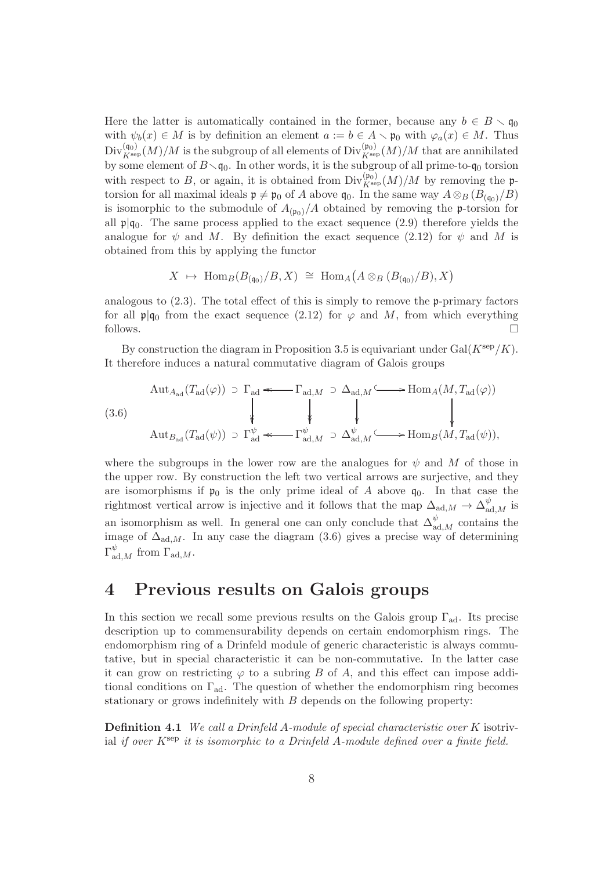Here the latter is automatically contained in the former, because any  $b \in B \setminus \mathfrak{g}_0$ with  $\psi_b(x) \in M$  is by definition an element  $a := b \in A \setminus \mathfrak{p}_0$  with  $\varphi_a(x) \in M$ . Thus  $\mathrm{Div}_{K^{\mathrm{sep}}}(M)/M$  is the subgroup of all elements of  $\mathrm{Div}_{K^{\mathrm{sep}}}(M)/M$  that are annihilated by some element of  $B \setminus \mathfrak{q}_0$ . In other words, it is the subgroup of all prime-to- $\mathfrak{q}_0$  torsion with respect to B, or again, it is obtained from  $\text{Div}_{K^{\text{sep}}}(M)/M$  by removing the ptorsion for all maximal ideals  $\mathfrak{p} \neq \mathfrak{p}_0$  of A above  $\mathfrak{q}_0$ . In the same way  $A \otimes_B (B_{(\mathfrak{q}_0)}/B)$ is isomorphic to the submodule of  $A_{(p_0)}/A$  obtained by removing the p-torsion for all  $\mathfrak{p}|\mathfrak{q}_0$ . The same process applied to the exact sequence (2.9) therefore yields the analogue for  $\psi$  and M. By definition the exact sequence (2.12) for  $\psi$  and M is obtained from this by applying the functor

$$
X \mapsto \text{Hom}_{B}(B_{(\mathfrak{q}_{0})}/B, X) \cong \text{Hom}_{A}(A \otimes_{B} (B_{(\mathfrak{q}_{0})}/B), X)
$$

analogous to  $(2.3)$ . The total effect of this is simply to remove the p-primary factors for all  $\mathfrak{p}|q_0$  from the exact sequence (2.12) for  $\varphi$  and M, from which everything follows.  $\Box$ 

By construction the diagram in Proposition 3.5 is equivariant under  $Gal(K<sup>sep</sup>/K)$ . It therefore induces a natural commutative diagram of Galois groups

(3.6)  
\n
$$
\begin{array}{c}\n\text{Aut}_{A_{\text{ad}}}(T_{\text{ad}}(\varphi)) \supset \Gamma_{\text{ad}} \stackrel{\text{def}}{\longrightarrow} \Gamma_{\text{ad},M} \supset \Delta_{\text{ad},M} \stackrel{\text{def}}{\longrightarrow} \text{Hom}_{A}(M, T_{\text{ad}}(\varphi)) \\
\downarrow \qquad \qquad \downarrow \qquad \qquad \downarrow \qquad \qquad \downarrow \qquad \qquad \downarrow \qquad \qquad \downarrow \qquad \qquad \downarrow \qquad \qquad \downarrow \qquad \qquad \downarrow \qquad \qquad \downarrow \qquad \qquad \downarrow \qquad \qquad \downarrow \qquad \qquad \downarrow \qquad \qquad \downarrow \qquad \qquad \downarrow \qquad \qquad \downarrow \qquad \qquad \downarrow \qquad \qquad \downarrow \qquad \qquad \downarrow \qquad \qquad \downarrow \qquad \qquad \downarrow \qquad \qquad \downarrow \qquad \qquad \downarrow \qquad \qquad \downarrow \qquad \qquad \downarrow \qquad \qquad \downarrow \qquad \qquad \downarrow \qquad \qquad \downarrow \qquad \qquad \downarrow \qquad \qquad \downarrow \qquad \qquad \downarrow \qquad \qquad \downarrow \qquad \qquad \downarrow \qquad \qquad \downarrow \qquad \qquad \downarrow \qquad \qquad \downarrow \qquad \qquad \downarrow \qquad \qquad \downarrow \qquad \qquad \downarrow \qquad \qquad \downarrow \qquad \qquad \downarrow \qquad \qquad \downarrow \qquad \qquad \downarrow \qquad \qquad \downarrow \qquad \qquad \downarrow \qquad \qquad \downarrow \qquad \qquad \downarrow \qquad \qquad \downarrow \qquad \qquad \downarrow \qquad \qquad \downarrow \qquad \qquad \downarrow \qquad \qquad \downarrow \qquad \qquad \downarrow \qquad \qquad \downarrow \qquad \qquad \downarrow \qquad \qquad \downarrow \qquad \qquad \downarrow \qquad \qquad \downarrow \qquad \qquad \downarrow \qquad \qquad \downarrow \qquad \qquad \downarrow \qquad \qquad \downarrow \qquad \qquad \downarrow \qquad \qquad \downarrow \qquad \qquad \downarrow \qquad \qquad \downarrow \qquad \qquad \downarrow \qquad \qquad \downarrow \qquad \qquad \downarrow \qquad \qquad \downarrow \qquad \qquad \downarrow \qquad \qquad \downarrow \
$$

where the subgroups in the lower row are the analogues for  $\psi$  and M of those in the upper row. By construction the left two vertical arrows are surjective, and they are isomorphisms if  $\mathfrak{p}_0$  is the only prime ideal of A above  $\mathfrak{q}_0$ . In that case the rightmost vertical arrow is injective and it follows that the map  $\Delta_{ad,M} \to \Delta_{ad,M}^{\psi}$  is an isomorphism as well. In general one can only conclude that  $\Delta_{\mathrm{ad},M}^{\psi}$  contains the image of  $\Delta_{\text{ad},M}$ . In any case the diagram (3.6) gives a precise way of determining  $\Gamma_{\mathrm{ad},M}^{\psi}$  from  $\Gamma_{\mathrm{ad},M}$ .

#### 4 Previous results on Galois groups

In this section we recall some previous results on the Galois group  $\Gamma_{ad}$ . Its precise description up to commensurability depends on certain endomorphism rings. The endomorphism ring of a Drinfeld module of generic characteristic is always commutative, but in special characteristic it can be non-commutative. In the latter case it can grow on restricting  $\varphi$  to a subring B of A, and this effect can impose additional conditions on  $\Gamma_{\text{ad}}$ . The question of whether the endomorphism ring becomes stationary or grows indefinitely with  $B$  depends on the following property:

Definition 4.1 We call a Drinfeld A-module of special characteristic over K isotrivial if over  $K^{\text{sep}}$  it is isomorphic to a Drinfeld A-module defined over a finite field.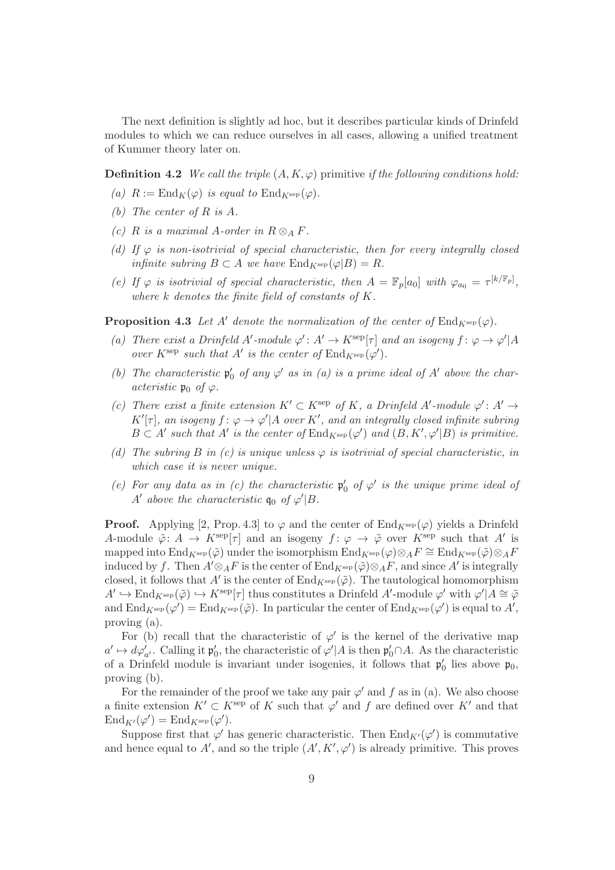The next definition is slightly ad hoc, but it describes particular kinds of Drinfeld modules to which we can reduce ourselves in all cases, allowing a unified treatment of Kummer theory later on.

**Definition 4.2** We call the triple  $(A, K, \varphi)$  primitive if the following conditions hold:

- (a)  $R := \text{End}_K(\varphi)$  is equal to  $\text{End}_{K^{\text{sep}}}(\varphi)$ .
- (b) The center of R is A.
- (c) R is a maximal A-order in  $R \otimes_A F$ .
- (d) If  $\varphi$  is non-isotrivial of special characteristic, then for every integrally closed infinite subring  $B \subset A$  we have  $\text{End}_{K^{\text{sep}}}(\varphi|B) = R$ .
- (e) If  $\varphi$  is isotrivial of special characteristic, then  $A = \mathbb{F}_p[a_0]$  with  $\varphi_{a_0} = \tau^{[k/\mathbb{F}_p]}$ , where  $k$  denotes the finite field of constants of  $K$ .

**Proposition 4.3** Let A' denote the normalization of the center of  $\text{End}_{K^{\text{sep}}}(\varphi)$ .

- (a) There exist a Drinfeld A'-module  $\varphi' : A' \to K^{\text{sep}}[\tau]$  and an isogeny  $f : \varphi \to \varphi' | A$ over  $K^{\text{sep}}$  such that A' is the center of  $\text{End}_{K^{\text{sep}}}(\varphi')$ .
- (b) The characteristic  $\mathfrak{p}'_0$  of any  $\varphi'$  as in (a) is a prime ideal of A' above the characteristic  $\mathfrak{p}_0$  of  $\varphi$ .
- (c) There exist a finite extension  $K' \subset K^{\text{sep}}$  of K, a Drinfeld A'-module  $\varphi' : A' \to$  $K'[\tau]$ , an isogeny  $f: \varphi \to \varphi' | A$  over  $K'$ , and an integrally closed infinite subring  $B \subset A'$  such that  $A'$  is the center of  $\text{End}_{K^{\text{sep}}}(\varphi')$  and  $(B, K', \varphi'|B)$  is primitive.
- (d) The subring B in (c) is unique unless  $\varphi$  is isotrivial of special characteristic, in which case it is never unique.
- (e) For any data as in (c) the characteristic  $\mathfrak{p}'_0$  of  $\varphi'$  is the unique prime ideal of A' above the characteristic  $\mathfrak{q}_0$  of  $\varphi' | B$ .

**Proof.** Applying [2, Prop. 4.3] to  $\varphi$  and the center of End<sub>Ksep</sub>( $\varphi$ ) yields a Drinfeld A-module  $\tilde{\varphi}$ :  $A \to K^{\rm sep}[\tau]$  and an isogeny  $f: \varphi \to \tilde{\varphi}$  over  $K^{\rm sep}$  such that A' is mapped into End<sub>K</sub>sep( $\tilde{\varphi}$ ) under the isomorphism End<sub>Ksep</sub>( $\varphi$ )⊗<sub>A</sub>F ≅ End<sub>Ksep</sub>( $\tilde{\varphi}$ )⊗<sub>A</sub>F induced by f. Then  $A' \otimes_A F$  is the center of  $\text{End}_{K^{\text{sep}}}(\tilde{\varphi}) \otimes_A F$ , and since  $A'$  is integrally closed, it follows that  $A'$  is the center of  $\mathrm{End}_{K^{\mathrm{sep}}}(\tilde{\varphi})$ . The tautological homomorphism  $A' \hookrightarrow \text{End}_{K^{\text{sep}}}(\tilde{\varphi}) \hookrightarrow K^{\text{sep}}[\tau]$  thus constitutes a Drinfeld  $A'$ -module  $\varphi'$  with  $\varphi' | A \cong \tilde{\varphi}$ and  $\mathrm{End}_{K^{\mathrm{sep}}}(\varphi') = \mathrm{End}_{K^{\mathrm{sep}}}(\tilde{\varphi})$ . In particular the center of  $\mathrm{End}_{K^{\mathrm{sep}}}(\varphi')$  is equal to  $A'$ , proving (a).

For (b) recall that the characteristic of  $\varphi'$  is the kernel of the derivative map  $a' \mapsto d\varphi'_{a'}$ . Calling it  $\mathfrak{p}'_0$ , the characteristic of  $\varphi' | A$  is then  $\mathfrak{p}'_0 \cap A$ . As the characteristic of a Drinfeld module is invariant under isogenies, it follows that  $\mathfrak{p}'_0$  lies above  $\mathfrak{p}_0$ , proving (b).

For the remainder of the proof we take any pair  $\varphi'$  and f as in (a). We also choose a finite extension  $K' \subset K^{\text{sep}}$  of K such that  $\varphi'$  and f are defined over  $K'$  and that  $\mathrm{End}_{K'}(\varphi')=\mathrm{End}_{K^{\mathrm{sep}}}(\varphi').$ 

Suppose first that  $\varphi'$  has generic characteristic. Then  $\text{End}_{K'}(\varphi')$  is commutative and hence equal to A', and so the triple  $(A', K', \varphi')$  is already primitive. This proves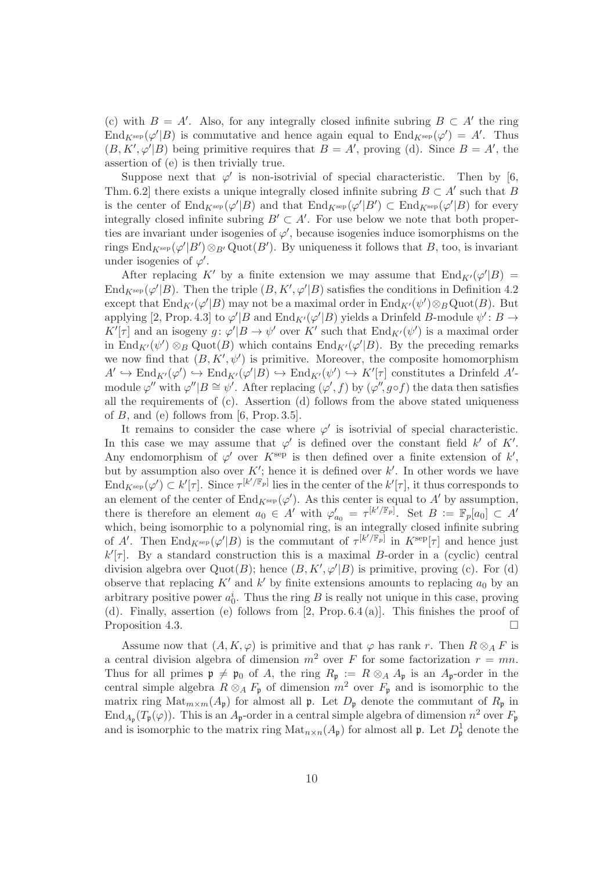(c) with  $B = A'$ . Also, for any integrally closed infinite subring  $B \subset A'$  the ring  $\text{End}_{K^{\text{sep}}}(\varphi'|B)$  is commutative and hence again equal to  $\text{End}_{K^{\text{sep}}}(\varphi') = A'$ . Thus  $(B, K', \varphi'|B)$  being primitive requires that  $B = A'$ , proving (d). Since  $B = A'$ , the assertion of (e) is then trivially true.

Suppose next that  $\varphi'$  is non-isotrivial of special characteristic. Then by [6, Thm. 6.2] there exists a unique integrally closed infinite subring  $B \subset A'$  such that B is the center of  $\text{End}_{K^{\text{sep}}}(\varphi'|B)$  and that  $\text{End}_{K^{\text{sep}}}(\varphi'|B') \subset \text{End}_{K^{\text{sep}}}(\varphi'|B)$  for every integrally closed infinite subring  $B' \subset A'$ . For use below we note that both properties are invariant under isogenies of  $\varphi'$ , because isogenies induce isomorphisms on the rings  $\text{End}_{K^{\text{sep}}}(\varphi'|B') \otimes_{B'} \text{Quot}(B')$ . By uniqueness it follows that B, too, is invariant under isogenies of  $\varphi'$ .

After replacing K' by a finite extension we may assume that  $\text{End}_{K'}(\varphi'|B) =$ End<sub>K</sub>sep( $\varphi'|B$ ). Then the triple  $(B, K', \varphi'|B)$  satisfies the conditions in Definition 4.2 except that  $\text{End}_{K'}(\varphi'|B)$  may not be a maximal order in  $\text{End}_{K'}(\psi')\otimes_B\text{Quot}(B)$ . But applying [2, Prop. 4.3] to  $\varphi' | B$  and  $\text{End}_{K'}(\varphi' | B)$  yields a Drinfeld B-module  $\psi' : B \to$  $K'[\tau]$  and an isogeny  $g: \varphi'|B \to \psi'$  over  $K'$  such that  $\text{End}_{K'}(\psi')$  is a maximal order in End<sub>K'</sub>( $\psi'$ )  $\otimes_B$  Quot(B) which contains End<sub>K'</sub>( $\varphi'$ |B). By the preceding remarks we now find that  $(B, K', \psi')$  is primitive. Moreover, the composite homomorphism  $A' \hookrightarrow \text{End}_{K'}(\varphi') \hookrightarrow \text{End}_{K'}(\varphi'|B) \hookrightarrow \text{End}_{K'}(\psi') \hookrightarrow K'[\tau]$  constitutes a Drinfeld  $A'$ module  $\varphi''$  with  $\varphi''|B \cong \psi'$ . After replacing  $(\varphi', f)$  by  $(\varphi'', g \circ f)$  the data then satisfies all the requirements of (c). Assertion (d) follows from the above stated uniqueness of  $B$ , and (e) follows from [6, Prop. 3.5].

It remains to consider the case where  $\varphi'$  is isotrivial of special characteristic. In this case we may assume that  $\varphi'$  is defined over the constant field k' of K'. Any endomorphism of  $\varphi'$  over  $K^{\text{sep}}$  is then defined over a finite extension of  $k'$ , but by assumption also over  $K'$ ; hence it is defined over  $k'$ . In other words we have  $\text{End}_{K^{\text{sep}}}(\varphi') \subset k'[\tau]$ . Since  $\tau^{[k'/\mathbb{F}_p]}$  lies in the center of the  $k'[\tau]$ , it thus corresponds to an element of the center of  $\text{End}_{K^{\text{sep}}}(\varphi')$ . As this center is equal to A' by assumption, there is therefore an element  $a_0 \in A'$  with  $\varphi'_{a_0} = \tau^{[k'/\mathbb{F}_p]}$ . Set  $B := \mathbb{F}_p[a_0] \subset A'$ which, being isomorphic to a polynomial ring, is an integrally closed infinite subring of A'. Then  $\text{End}_{K^{\text{sep}}}(\varphi'|B)$  is the commutant of  $\tau^{[k'/\mathbb{F}_p]}$  in  $K^{\text{sep}}[\tau]$  and hence just  $k'[\tau]$ . By a standard construction this is a maximal B-order in a (cyclic) central division algebra over  $Quot(B)$ ; hence  $(B, K', \varphi'|B)$  is primitive, proving (c). For (d) observe that replacing  $K'$  and  $k'$  by finite extensions amounts to replacing  $a_0$  by an arbitrary positive power  $a_0^i$ . Thus the ring B is really not unique in this case, proving (d). Finally, assertion (e) follows from [2, Prop. 6.4 (a)]. This finishes the proof of Proposition 4.3.

Assume now that  $(A, K, \varphi)$  is primitive and that  $\varphi$  has rank r. Then  $R \otimes_A F$  is a central division algebra of dimension  $m^2$  over F for some factorization  $r = mn$ . Thus for all primes  $\mathfrak{p} \neq \mathfrak{p}_0$  of A, the ring  $R_{\mathfrak{p}} := R \otimes_A A_{\mathfrak{p}}$  is an  $A_{\mathfrak{p}}$ -order in the central simple algebra  $R \otimes_A F_p$  of dimension  $m^2$  over  $F_p$  and is isomorphic to the matrix ring  $\text{Mat}_{m\times m}(A_{\mathfrak{p}})$  for almost all  $\mathfrak{p}$ . Let  $D_{\mathfrak{p}}$  denote the commutant of  $R_{\mathfrak{p}}$  in  $\text{End}_{A_{\mathfrak{p}}}(T_{\mathfrak{p}}(\varphi))$ . This is an  $A_{\mathfrak{p}}$ -order in a central simple algebra of dimension  $n^2$  over  $F_{\mathfrak{p}}$ and is isomorphic to the matrix ring  $\text{Mat}_{n\times n}(A_{\mathfrak{p}})$  for almost all  $\mathfrak{p}$ . Let  $D_{\mathfrak{p}}^1$  denote the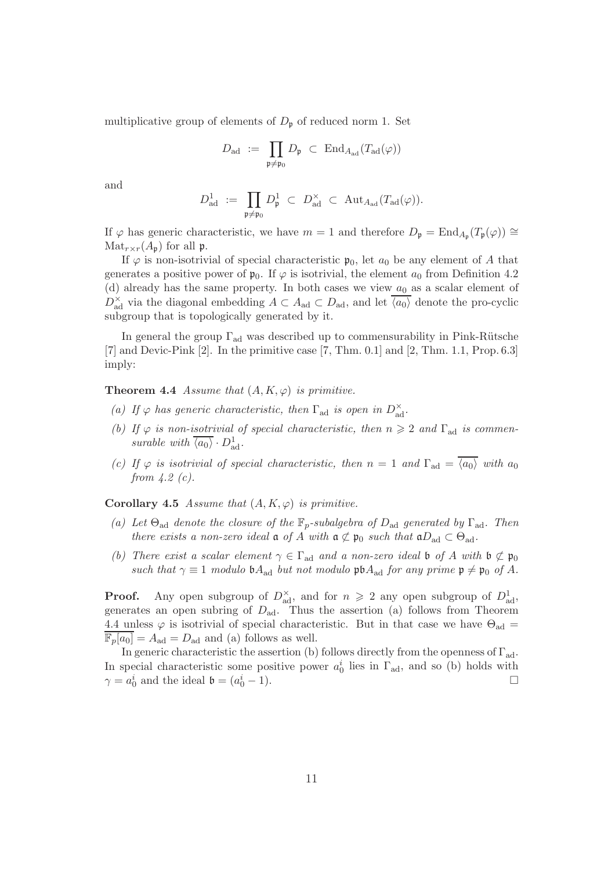multiplicative group of elements of  $D_{\mathfrak{p}}$  of reduced norm 1. Set

$$
D_{\mathrm{ad}} \ := \ \prod_{\mathfrak{p} \neq \mathfrak{p}_0} D_{\mathfrak{p}} \ \subset \ \mathrm{End}_{A_{\mathrm{ad}}}(T_{\mathrm{ad}}(\varphi))
$$

and

$$
D_{\mathrm{ad}}^1 \ := \ \prod_{\mathfrak{p} \neq \mathfrak{p}_0} D_{\mathfrak{p}}^1 \ \subset \ D_{\mathrm{ad}}^\times \ \subset \ \mathrm{Aut}_{A_{\mathrm{ad}}}(T_{\mathrm{ad}}(\varphi)).
$$

If  $\varphi$  has generic characteristic, we have  $m = 1$  and therefore  $D_{\mathfrak{p}} = \text{End}_{A_{\mathfrak{p}}}(T_{\mathfrak{p}}(\varphi)) \cong$  $\text{Mat}_{r \times r}(A_{\mathfrak{p}})$  for all  $\mathfrak{p}$ .

If  $\varphi$  is non-isotrivial of special characteristic  $\mathfrak{p}_0$ , let  $a_0$  be any element of A that generates a positive power of  $\mathfrak{p}_0$ . If  $\varphi$  is isotrivial, the element  $a_0$  from Definition 4.2 (d) already has the same property. In both cases we view  $a_0$  as a scalar element of  $D_{\text{ad}}^{\times}$  via the diagonal embedding  $A \subset A_{\text{ad}} \subset D_{\text{ad}}$ , and let  $\overline{\langle a_0 \rangle}$  denote the pro-cyclic subgroup that is topologically generated by it.

In general the group  $\Gamma_{\text{ad}}$  was described up to commensurability in Pink-Rütsche  $[7]$  and Devic-Pink  $[2]$ . In the primitive case  $[7, Thm. 0.1]$  and  $[2, Thm. 1.1, Prop. 6.3]$ imply:

**Theorem 4.4** Assume that  $(A, K, \varphi)$  is primitive.

- (a) If  $\varphi$  has generic characteristic, then  $\Gamma_{ad}$  is open in  $D_{ad}^{\times}$ .
- (b) If  $\varphi$  is non-isotrivial of special characteristic, then  $n \geqslant 2$  and  $\Gamma_{\text{ad}}$  is commensurable with  $\overline{\langle a_0 \rangle} \cdot D^1_{\text{ad}}$ .
- (c) If  $\varphi$  is isotrivial of special characteristic, then  $n = 1$  and  $\Gamma_{\text{ad}} = \overline{\langle a_0 \rangle}$  with  $a_0$ from  $4.2$  (c).

**Corollary 4.5** Assume that  $(A, K, \varphi)$  is primitive.

- (a) Let  $\Theta_{\text{ad}}$  denote the closure of the  $\mathbb{F}_p$ -subalgebra of  $D_{\text{ad}}$  generated by  $\Gamma_{\text{ad}}$ . Then there exists a non-zero ideal  $\mathfrak a$  of A with  $\mathfrak a \not\subset \mathfrak p_0$  such that  $\mathfrak aD_{\rm ad} \subset \Theta_{\rm ad}$ .
- (b) There exist a scalar element  $\gamma \in \Gamma_{ad}$  and a non-zero ideal b of A with  $\mathfrak{b} \not\subset \mathfrak{p}_0$ such that  $\gamma \equiv 1$  modulo  $\mathfrak{b}A_{\text{ad}}$  but not modulo  $\mathfrak{p}\mathfrak{b}A_{\text{ad}}$  for any prime  $\mathfrak{p} \neq \mathfrak{p}_0$  of A.

**Proof.** Any open subgroup of  $D_{ad}^{\times}$ , and for  $n \ge 2$  any open subgroup of  $D_{ad}^1$ , generates an open subring of  $D_{\text{ad}}$ . Thus the assertion (a) follows from Theorem 4.4 unless  $\varphi$  is isotrivial of special characteristic. But in that case we have  $\Theta_{ad} =$  $\mathbb{F}_p[a_0] = A_{\text{ad}} = D_{\text{ad}}$  and (a) follows as well.

In generic characteristic the assertion (b) follows directly from the openness of  $\Gamma_{ad}$ . In special characteristic some positive power  $a_0^i$  lies in  $\Gamma_{\text{ad}}$ , and so (b) holds with  $\gamma = a_0^i$  and the ideal  $\mathfrak{b} = (a_0^i)$  $\frac{i}{0} - 1$ .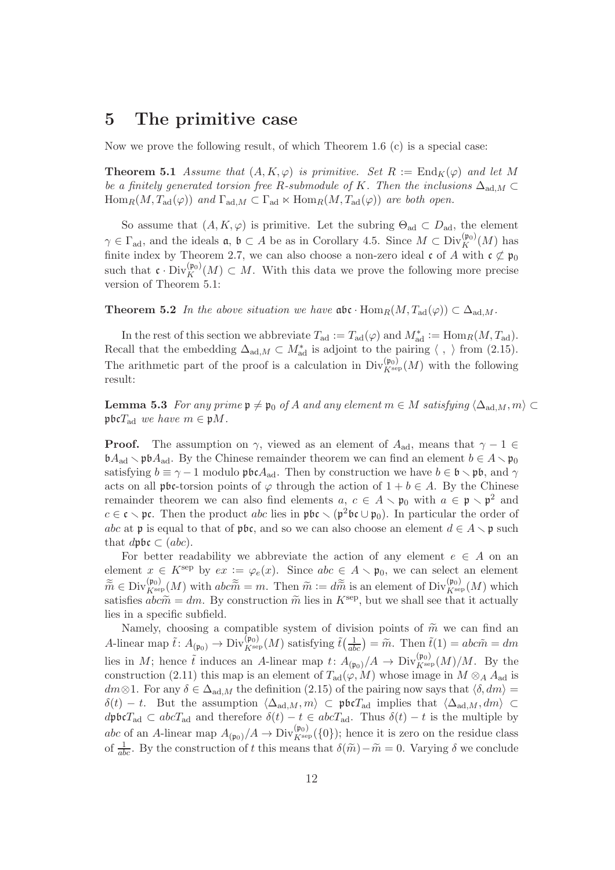#### 5 The primitive case

Now we prove the following result, of which Theorem 1.6  $(c)$  is a special case:

**Theorem 5.1** Assume that  $(A, K, \varphi)$  is primitive. Set  $R := \text{End}_K(\varphi)$  and let M be a finitely generated torsion free R-submodule of K. Then the inclusions  $\Delta_{ad,M} \subset$  $\text{Hom}_R(M, T_{\text{ad}}(\varphi))$  and  $\Gamma_{\text{ad},M} \subset \Gamma_{\text{ad}} \ltimes \text{Hom}_R(M, T_{\text{ad}}(\varphi))$  are both open.

So assume that  $(A, K, \varphi)$  is primitive. Let the subring  $\Theta_{ad} \subset D_{ad}$ , the element  $\gamma \in \Gamma_{\text{ad}}$ , and the ideals  $\mathfrak{a}, \mathfrak{b} \subset A$  be as in Corollary 4.5. Since  $M \subset \text{Div}_{K}^{(\mathfrak{p}_0)}(M)$  has finite index by Theorem 2.7, we can also choose a non-zero ideal c of A with  $c \not\subset \mathfrak{p}_0$ such that  $\mathfrak{c} \cdot \text{Div}_K^{(\mathfrak{p}_0)}(M) \subset M$ . With this data we prove the following more precise version of Theorem 5.1:

**Theorem 5.2** In the above situation we have  $\mathfrak{abc} \cdot \text{Hom}_R(M, T_{ad}(\varphi)) \subset \Delta_{ad,M}$ .

In the rest of this section we abbreviate  $T_{\text{ad}} := T_{\text{ad}}(\varphi)$  and  $M_{\text{ad}}^* := \text{Hom}_R(M, T_{\text{ad}})$ . Recall that the embedding  $\Delta_{ad,M} \subset M^*_{ad}$  is adjoint to the pairing  $\langle , \rangle$  from (2.15). The arithmetic part of the proof is a calculation in  $\text{Div}_{K^{\text{sep}}}(M)$  with the following result:

**Lemma 5.3** For any prime  $\mathfrak{p} \neq \mathfrak{p}_0$  of A and any element  $m \in M$  satisfying  $\langle \Delta_{ad,M}, m \rangle \subset$  $\mathfrak{p} \mathfrak{b} \mathfrak{c} T_{\text{ad}}$  we have  $m \in \mathfrak{p} M$ .

**Proof.** The assumption on  $\gamma$ , viewed as an element of  $A_{ad}$ , means that  $\gamma - 1 \in$  $\mathfrak{b}A_{\text{ad}} \setminus \mathfrak{p}\mathfrak{b}A_{\text{ad}}$ . By the Chinese remainder theorem we can find an element  $b \in A \setminus \mathfrak{p}_0$ satisfying  $b \equiv \gamma - 1$  modulo  $\mathfrak{p} \mathfrak{b} \mathfrak{c} A_{ad}$ . Then by construction we have  $b \in \mathfrak{b} \setminus \mathfrak{p} \mathfrak{b}$ , and  $\gamma$ acts on all pbc-torsion points of  $\varphi$  through the action of  $1 + b \in A$ . By the Chinese remainder theorem we can also find elements  $a, c \in A \setminus \mathfrak{p}_0$  with  $a \in \mathfrak{p} \setminus \mathfrak{p}^2$  and  $c \in \mathfrak{c} \setminus \mathfrak{pc}$ . Then the product abc lies in  $\mathfrak{pbc} \setminus (\mathfrak{p}^2\mathfrak{bc} \cup \mathfrak{p}_0)$ . In particular the order of abc at p is equal to that of pbc, and so we can also choose an element  $d \in A \setminus \mathfrak{p}$  such that  $d\mathfrak{pbc} \subset (abc)$ .

For better readability we abbreviate the action of any element  $e \in A$  on an element  $x \in K^{\rm sep}$  by  $ex := \varphi_e(x)$ . Since  $abc \in A \setminus \mathfrak{p}_0$ , we can select an element  $\widetilde{\widetilde{m}} \in \text{Div}_{K^{\text{sep}}}(M)$  with  $abc\widetilde{\widetilde{m}} = m$ . Then  $\widetilde{m} := d\widetilde{\widetilde{m}}$  is an element of  $\text{Div}_{K^{\text{sep}}}(M)$  which satisfies  $abc\tilde{m} = dm$ . By construction  $\tilde{m}$  lies in  $K^{\text{sep}}$ , but we shall see that it actually lies in a specific subfield.

Namely, choosing a compatible system of division points of  $\tilde{m}$  we can find an A-linear map  $\tilde{t}$ :  $A_{(\mathfrak{p}_0)} \to \text{Div}_{K^{\text{sep}}}(M)$  satisfying  $\tilde{t}(\frac{1}{abc}) = \tilde{m}$ . Then  $\tilde{t}(1) = abc\tilde{m} = dm$ lies in M; hence  $\tilde{t}$  induces an A-linear map  $t: A_{(\mathfrak{p}_0)}/A \to \text{Div}_{K^{\text{sep}}(M)/M$ . By the construction (2.11) this map is an element of  $T_{\text{ad}}(\varphi, M)$  whose image in  $M \otimes_A A_{\text{ad}}$  is dm⊗1. For any  $\delta \in \Delta_{ad,M}$  the definition (2.15) of the pairing now says that  $\langle \delta, dm \rangle =$  $\delta(t) - t$ . But the assumption  $\langle \Delta_{\mathrm{ad},M}, m \rangle \subset \mathfrak{p} \mathfrak{b} \mathfrak{c} T_{\mathrm{ad}}$  implies that  $\langle \Delta_{\mathrm{ad},M}, dm \rangle \subset$  $d\mathfrak{p}$ bc $T_{\text{ad}} \subset abcT_{\text{ad}}$  and therefore  $\delta(t) - t \in abcT_{\text{ad}}$ . Thus  $\delta(t) - t$  is the multiple by abc of an A-linear map  $A_{(p_0)}/A \to Div_{K^{\text{sep}}}^{(p_0)}(\{0\})$ ; hence it is zero on the residue class of  $\frac{1}{abc}$ . By the construction of t this means that  $\delta(\tilde{m})-\tilde{m}=0$ . Varying  $\delta$  we conclude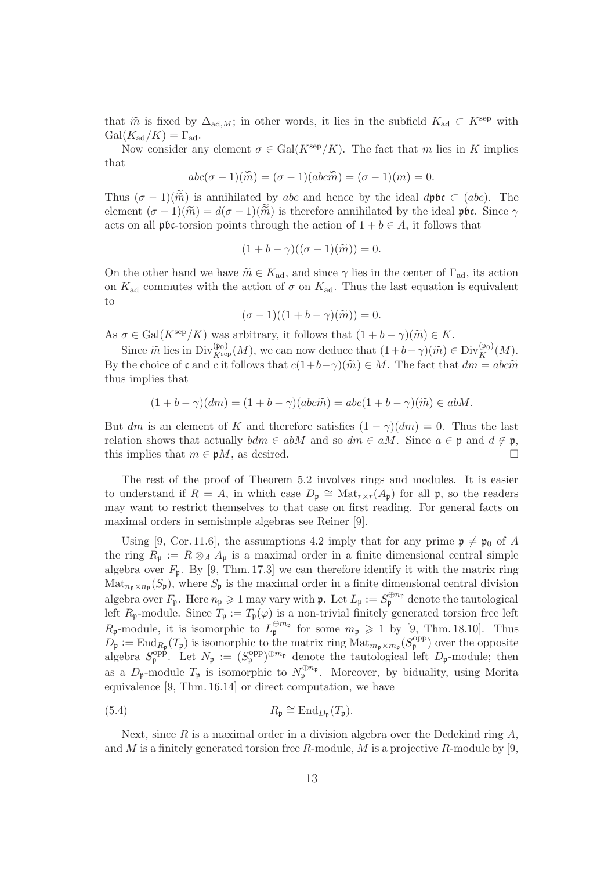that  $\tilde{m}$  is fixed by  $\Delta_{ad,M}$ ; in other words, it lies in the subfield  $K_{ad} \subset K^{\rm sep}$  with  $Gal(K_{ad}/K) = \Gamma_{ad}.$ 

Now consider any element  $\sigma \in \text{Gal}(K^{\text{sep}}/K)$ . The fact that m lies in K implies that

$$
abc(\sigma - 1)(\widetilde{m}) = (\sigma - 1)(abc\widetilde{m}) = (\sigma - 1)(m) = 0.
$$

Thus  $(\sigma - 1)(\tilde{\tilde{m}})$  is annihilated by abc and hence by the ideal dpbc  $\subset (abc)$ . The element  $(\sigma - 1)(\tilde{m}) = d(\sigma - 1)(\tilde{m})$  is therefore annihilated by the ideal pbc. Since  $\gamma$ acts on all pbc-torsion points through the action of  $1 + b \in A$ , it follows that

$$
(1+b-\gamma)((\sigma-1)(\widetilde{m}))=0.
$$

On the other hand we have  $\widetilde{m} \in K_{ad}$ , and since  $\gamma$  lies in the center of  $\Gamma_{ad}$ , its action on  $K_{\text{ad}}$  commutes with the action of  $\sigma$  on  $K_{\text{ad}}$ . Thus the last equation is equivalent to

$$
(\sigma - 1)((1 + b - \gamma)(\widetilde{m})) = 0.
$$

As  $\sigma \in \text{Gal}(K^{\text{sep}}/K)$  was arbitrary, it follows that  $(1 + b - \gamma)(\widetilde{m}) \in K$ .

Since  $\widetilde{m}$  lies in Div $_{K^{\text{sep}}}(M)$ , we can now deduce that  $(1+b-\gamma)(\widetilde{m}) \in \text{Div}_{K}^{(\mathfrak{p}_0)}(M)$ . By the choice of c and c it follows that  $c(1+b-\gamma)(\widetilde{m}) \in M$ . The fact that  $dm = abc\widetilde{m}$ thus implies that

$$
(1+b-\gamma)(dm) = (1+b-\gamma)(abc\tilde{m}) = abc(1+b-\gamma)(\tilde{m}) \in abM.
$$

But dm is an element of K and therefore satisfies  $(1 - \gamma)(dm) = 0$ . Thus the last relation shows that actually  $bdm \in abM$  and so  $dm \in aM$ . Since  $a \in \mathfrak{p}$  and  $d \notin \mathfrak{p}$ , this implies that  $m \in \mathfrak{p}M$ , as desired.

The rest of the proof of Theorem 5.2 involves rings and modules. It is easier to understand if  $R = A$ , in which case  $D_{\mathfrak{p}} \cong \text{Mat}_{r \times r}(A_{\mathfrak{p}})$  for all  $\mathfrak{p}$ , so the readers may want to restrict themselves to that case on first reading. For general facts on maximal orders in semisimple algebras see Reiner [9].

Using [9, Cor. 11.6], the assumptions 4.2 imply that for any prime  $\mathfrak{p} \neq \mathfrak{p}_0$  of A the ring  $R_p := R \otimes_A A_p$  is a maximal order in a finite dimensional central simple algebra over  $F_{\mathfrak{p}}$ . By [9, Thm. 17.3] we can therefore identify it with the matrix ring  $\text{Mat}_{n_{\mathfrak{p}}\times n_{\mathfrak{p}}}(S_{\mathfrak{p}})$ , where  $S_{\mathfrak{p}}$  is the maximal order in a finite dimensional central division algebra over  $F_{\mathfrak{p}}$ . Here  $n_{\mathfrak{p}} \geq 1$  may vary with  $\mathfrak{p}$ . Let  $L_{\mathfrak{p}} := S_{\mathfrak{p}}^{\oplus n_{\mathfrak{p}}}$  denote the tautological left  $R_{\mathfrak{p}}$ -module. Since  $T_{\mathfrak{p}} := T_{\mathfrak{p}}(\varphi)$  is a non-trivial finitely generated torsion free left  $R_{\mathfrak{p}}$ -module, it is isomorphic to  $L_{\mathfrak{p}}^{\oplus m_{\mathfrak{p}}}$  for some  $m_{\mathfrak{p}} \geq 1$  by [9, Thm. 18.10]. Thus  $D_{\mathfrak{p}} := \text{End}_{R_{\mathfrak{p}}}(T_{\mathfrak{p}})$  is isomorphic to the matrix ring  $\text{Mat}_{m_{\mathfrak{p}} \times m_{\mathfrak{p}}}(S_{\mathfrak{p}}^{\text{opp}})$  over the opposite algebra  $S_{\mathfrak{p}}^{\text{opp}}$ . Let  $N_{\mathfrak{p}} := (S_{\mathfrak{p}}^{\text{opp}})^{\oplus m_{\mathfrak{p}}}$  denote the tautological left  $D_{\mathfrak{p}}$ -module; then as a  $D_{\mathfrak{p}}$ -module  $T_{\mathfrak{p}}$  is isomorphic to  $N_{\mathfrak{p}}^{\oplus n_{\mathfrak{p}}}$ . Moreover, by biduality, using Morita equivalence [9, Thm. 16.14] or direct computation, we have

(5.4) 
$$
R_{\mathfrak{p}} \cong \mathrm{End}_{D_{\mathfrak{p}}}(T_{\mathfrak{p}}).
$$

Next, since  $R$  is a maximal order in a division algebra over the Dedekind ring  $A$ , and M is a finitely generated torsion free R-module, M is a projective R-module by  $[9,$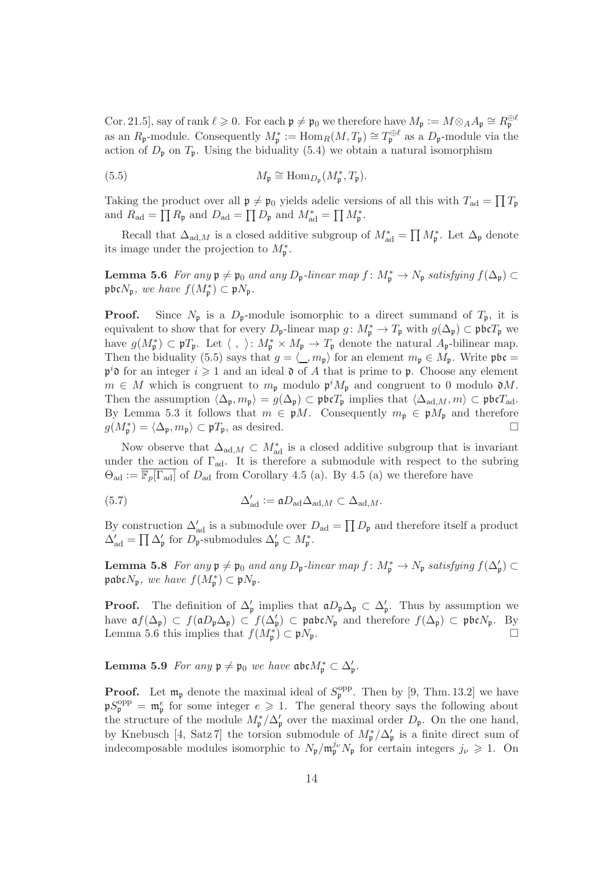Cor. 21.5, say of rank  $\ell \geqslant 0$ . For each  $\mathfrak{p} \neq \mathfrak{p}_0$  we therefore have  $M_{\mathfrak{p}} := M \otimes_A A_{\mathfrak{p}} \cong R_{\mathfrak{p}}^{\oplus \ell}$ as an  $R_{\mathfrak{p}}$ -module. Consequently  $M_{\mathfrak{p}}^* := \text{Hom}_R(M, T_{\mathfrak{p}}) \cong T_{\mathfrak{p}}^{\oplus \ell}$  as a  $D_{\mathfrak{p}}$ -module via the action of  $D_{\mathfrak{p}}$  on  $T_{\mathfrak{p}}$ . Using the biduality (5.4) we obtain a natural isomorphism

(5.5) 
$$
M_{\mathfrak{p}} \cong \text{Hom}_{D_{\mathfrak{p}}}(M_{\mathfrak{p}}^*, T_{\mathfrak{p}}).
$$

Taking the product over all  $\mathfrak{p} \neq \mathfrak{p}_0$  yields adelic versions of all this with  $T_{ad} = \prod T_{\mathfrak{p}}$ and  $R_{\text{ad}} = \prod R_{\mathfrak{p}}$  and  $D_{\text{ad}} = \prod D_{\mathfrak{p}}$  and  $M_{\text{ad}}^* = \prod M_{\mathfrak{p}}^*$ .

Recall that  $\Delta_{ad,M}$  is a closed additive subgroup of  $M^*_{ad} = \prod M^*_{\mathfrak{p}}$ . Let  $\Delta_{\mathfrak{p}}$  denote its image under the projection to  $M_{\mathfrak{p}}^*$ .

**Lemma 5.6** For any  $\mathfrak{p} \neq \mathfrak{p}_0$  and any  $D_{\mathfrak{p}}$ -linear map  $f : M_{\mathfrak{p}}^* \to N_{\mathfrak{p}}$  satisfying  $f(\Delta_{\mathfrak{p}}) \subset$ pbc $N_{\mathfrak{p}},$  we have  $f(M_{\mathfrak{p}}^*) \subset \mathfrak{p}N_{\mathfrak{p}}$ .

**Proof.** Since  $N_p$  is a  $D_p$ -module isomorphic to a direct summand of  $T_p$ , it is equivalent to show that for every  $D_{\mathfrak{p}}$ -linear map  $g: M_{\mathfrak{p}}^* \to T_{\mathfrak{p}}$  with  $g(\Delta_{\mathfrak{p}}) \subset \mathfrak{phc}T_{\mathfrak{p}}$  we have  $g(M_{\mathfrak{p}}^*) \subset \mathfrak{p}T_{\mathfrak{p}}$ . Let  $\langle , \rangle: M_{\mathfrak{p}}^* \times M_{\mathfrak{p}} \to T_{\mathfrak{p}}$  denote the natural  $A_{\mathfrak{p}}$ -bilinear map. Then the biduality (5.5) says that  $g = \langle \_, m_{\mathfrak{p}} \rangle$  for an element  $m_{\mathfrak{p}} \in M_{\mathfrak{p}}$ . Write  $\mathfrak{p}$ bc =  $\mathfrak{p}^i$  of or an integer  $i \geqslant 1$  and an ideal  $\mathfrak d$  of A that is prime to  $\mathfrak p$ . Choose any element  $m \in M$  which is congruent to  $m_{\mathfrak{p}}$  modulo  $\mathfrak{p}^i M_{\mathfrak{p}}$  and congruent to 0 modulo  $\mathfrak{d}M$ . Then the assumption  $\langle \Delta_{\mathfrak{p}}, m_{\mathfrak{p}} \rangle = g(\Delta_{\mathfrak{p}}) \subset \mathfrak{p}\mathfrak{b} \mathfrak{c} T_{\mathfrak{p}}$  implies that  $\langle \Delta_{\mathrm{ad},M}, m \rangle \subset \mathfrak{p}\mathfrak{b} \mathfrak{c} T_{\mathrm{ad}}$ . By Lemma 5.3 it follows that  $m \in \mathfrak{p}M$ . Consequently  $m_{\mathfrak{p}} \in \mathfrak{p}M_{\mathfrak{p}}$  and therefore  $g(M_{\mathfrak{p}}^*) = \langle \Delta_{\mathfrak{p}}, m_{\mathfrak{p}} \rangle \subset \mathfrak{p}T_{\mathfrak{p}},$  as desired.

Now observe that  $\Delta_{\text{ad},M} \subset M_{\text{ad}}^*$  is a closed additive subgroup that is invariant under the action of  $\Gamma_{ad}$ . It is therefore a submodule with respect to the subring  $\Theta_{\text{ad}} := \overline{\mathbb{F}_p[\Gamma_{\text{ad}}]}$  of  $D_{\text{ad}}$  from Corollary 4.5 (a). By 4.5 (a) we therefore have

(5.7) 
$$
\Delta'_{\text{ad}} := \mathfrak{a} D_{\text{ad}} \Delta_{\text{ad},M} \subset \Delta_{\text{ad},M}.
$$

By construction  $\Delta'_{ad}$  is a submodule over  $D_{ad} = \prod D_{\mathfrak{p}}$  and therefore itself a product  $\Delta'_{\rm ad} = \prod \Delta'_{\rm p}$  for  $D_{\rm p}^{\rm ad}$ -submodules  $\Delta'_{\rm p} \subset M_{\rm p}^*$ .

**Lemma 5.8** For any  $\mathfrak{p} \neq \mathfrak{p}_0$  and any  $D_{\mathfrak{p}}$ -linear map  $f : M_{\mathfrak{p}}^* \to N_{\mathfrak{p}}$  satisfying  $f(\Delta_{\mathfrak{p}}') \subset$  $\mathfrak{pabc}N_{\mathfrak{p}},$  we have  $f(M_{\mathfrak{p}}^{*})\subset \mathfrak{p}N_{\mathfrak{p}}.$ 

**Proof.** The definition of  $\Delta'_{p}$  implies that  $aD_{p}\Delta_{p} \subset \Delta'_{p}$ . Thus by assumption we have  $\mathfrak{a}f(\Delta_{\mathfrak{p}}) \subset f(\mathfrak{a}D_{\mathfrak{p}}\Delta_{\mathfrak{p}}) \subset f(\Delta_{\mathfrak{p}}') \subset \mathfrak{p}\mathfrak{a}\mathfrak{b}\mathfrak{c}N_{\mathfrak{p}}$  and therefore  $f(\Delta_{\mathfrak{p}}) \subset \mathfrak{p}\mathfrak{b}\mathfrak{c}N_{\mathfrak{p}}$ . By Lemma 5.6 this implies that  $f(M_{\mathfrak{p}}^*) \subset \mathfrak{p}N_{\mathfrak{p}}$ .

Lemma 5.9 For any  $\mathfrak{p} \neq \mathfrak{p}_0$  we have  $\mathfrak{a}\mathfrak{b}\mathfrak{c}M_{\mathfrak{p}}^* \subset \Delta_{\mathfrak{p}}'.$ 

**Proof.** Let  $\mathfrak{m}_{\mathfrak{p}}$  denote the maximal ideal of  $S_{\mathfrak{p}}^{\text{opp}}$ . Then by [9, Thm. 13.2] we have  $\mathfrak{p}S_{\mathfrak{p}}^{\mathrm{opp}} = \mathfrak{m}_{\mathfrak{p}}^e$  for some integer  $e \geq 1$ . The general theory says the following about the structure of the module  $M_{\mathfrak{p}}^*/\Delta_{\mathfrak{p}}'$  over the maximal order  $D_{\mathfrak{p}}$ . On the one hand, by Knebusch [4, Satz 7] the torsion submodule of  $M_{\mathfrak{p}}^*/\Delta_{\mathfrak{p}}'$  is a finite direct sum of indecomposable modules isomorphic to  $N_{\mathfrak{p}}/\mathfrak{m}_{\mathfrak{p}}^{j_{\nu}}N_{\mathfrak{p}}$  for certain integers  $j_{\nu} \geqslant 1$ . On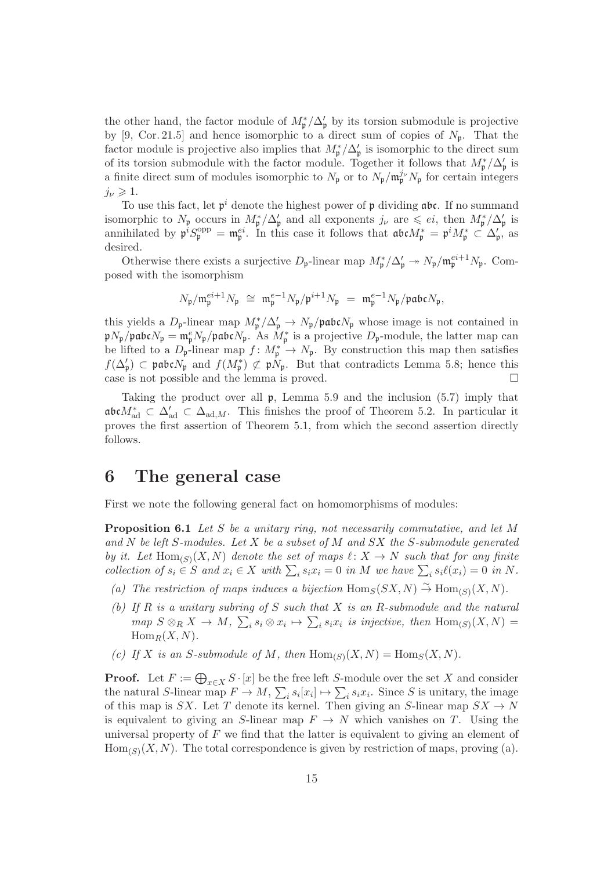the other hand, the factor module of  $M_{\mathfrak{p}}^*/\Delta_{\mathfrak{p}}'$  by its torsion submodule is projective by [9, Cor. 21.5] and hence isomorphic to a direct sum of copies of  $N_p$ . That the factor module is projective also implies that  $M_{\mathfrak{p}}^*/\Delta_{\mathfrak{p}}'$  is isomorphic to the direct sum of its torsion submodule with the factor module. Together it follows that  $M_{\mathfrak{p}}^*/\Delta_{\mathfrak{p}}'$  is a finite direct sum of modules isomorphic to  $N_{\mathfrak{p}}$  or to  $N_{\mathfrak{p}}/m_{\mathfrak{p}}^{j_{\nu}}N_{\mathfrak{p}}$  for certain integers  $j_{\nu} \geqslant 1.$ 

To use this fact, let  $\mathfrak{p}^i$  denote the highest power of  $\mathfrak p$  dividing  $\mathfrak{abc}$ . If no summand isomorphic to  $N_{\mathfrak{p}}$  occurs in  $M_{\mathfrak{p}}^*/\Delta_{\mathfrak{p}}'$  and all exponents  $j_{\nu}$  are  $\leqslant ei$ , then  $M_{\mathfrak{p}}^*/\Delta_{\mathfrak{p}}'$  is annihilated by  $\mathfrak{p}^i S_{\mathfrak{p}}^{\text{opp}} = \mathfrak{m}_{\mathfrak{p}}^{ei}$ . In this case it follows that  $\mathfrak{a}\mathfrak{b}\mathfrak{c}M_{\mathfrak{p}}^* = \mathfrak{p}^i M_{\mathfrak{p}}^* \subset \Delta_{\mathfrak{p}}'$ , as desired.

Otherwise there exists a surjective  $D_{\mathfrak{p}}$ -linear map  $M_{\mathfrak{p}}^*/\Delta_{\mathfrak{p}}' \to N_{\mathfrak{p}}/\mathfrak{m}_{\mathfrak{p}}^{ei+1}N_{\mathfrak{p}}$ . Composed with the isomorphism

$$
N_{\mathfrak{p}}/\mathfrak{m}_{\mathfrak{p}}^{ei+1}N_{\mathfrak{p}}\;\cong\;\mathfrak{m}_{\mathfrak{p}}^{e-1}N_{\mathfrak{p}}/\mathfrak{p}^{i+1}N_{\mathfrak{p}}\;=\;\mathfrak{m}_{\mathfrak{p}}^{e-1}N_{\mathfrak{p}}/\mathfrak{p}\mathfrak{a}\mathfrak{b}\mathfrak{c} N_{\mathfrak{p}},
$$

this yields a  $D_{\mathfrak{p}}$ -linear map  $M_{\mathfrak{p}}^*/\Delta_{\mathfrak{p}}' \to N_{\mathfrak{p}}/\mathfrak{pabc}N_{\mathfrak{p}}$  whose image is not contained in  $\mathfrak{p}N_{\mathfrak{p}}/\mathfrak{p}$ abc $N_{\mathfrak{p}} = \mathfrak{m}_{\mathfrak{p}}^eN_{\mathfrak{p}}/\mathfrak{p}$ abc $N_{\mathfrak{p}}$ . As  $M_{\mathfrak{p}}^*$  is a projective  $D_{\mathfrak{p}}$ -module, the latter map can be lifted to a  $D_{\mathfrak{p}}$ -linear map  $f: M_{\mathfrak{p}}^* \to N_{\mathfrak{p}}$ . By construction this map then satisfies  $f(\Delta_{\mathfrak{p}}') \subset \mathfrak{p}\mathfrak{a}\mathfrak{b}\mathfrak{c}N_{\mathfrak{p}}$  and  $f(M_{\mathfrak{p}}^*) \not\subset \mathfrak{p}N_{\mathfrak{p}}$ . But that contradicts Lemma 5.8; hence this case is not possible and the lemma is proved.  $\Box$ 

Taking the product over all  $\mathfrak{p}$ , Lemma 5.9 and the inclusion (5.7) imply that abc $M^*_{\text{ad}} \subset \Delta'_{\text{ad}} \subset \Delta_{\text{ad},M}$ . This finishes the proof of Theorem 5.2. In particular it proves the first assertion of Theorem 5.1, from which the second assertion directly follows.

#### 6 The general case

First we note the following general fact on homomorphisms of modules:

Proposition 6.1 Let S be a unitary ring, not necessarily commutative, and let M and  $N$  be left S-modules. Let  $X$  be a subset of  $M$  and  $SX$  the S-submodule generated by it. Let  $\text{Hom}_{(S)}(X, N)$  denote the set of maps  $\ell \colon X \to N$  such that for any finite collection of  $s_i \in S$  and  $x_i \in X$  with  $\sum_i s_i x_i = 0$  in M we have  $\sum_i s_i \ell(x_i) = 0$  in N.

- (a) The restriction of maps induces a bijection  $\text{Hom}_S(SX, N) \overset{\sim}{\to} \text{Hom}_{(S)}(X, N)$ .
- (b) If R is a unitary subring of S such that X is an R-submodule and the natural map  $S \otimes_R X \to M$ ,  $\sum_i s_i \otimes x_i \mapsto \sum_i s_i x_i$  is injective, then  $\text{Hom}_{(S)}(X,N) =$  $\text{Hom}_R(X, N)$ .
- (c) If X is an S-submodule of M, then  $\text{Hom}_{(S)}(X, N) = \text{Hom}_S(X, N)$ .

**Proof.** Let  $F := \bigoplus_{x \in X} S \cdot [x]$  be the free left S-module over the set X and consider the natural S-linear map  $F \to M$ ,  $\sum_i s_i [x_i] \mapsto \sum_i s_i x_i$ . Since S is unitary, the image of this map is SX. Let T denote its kernel. Then giving an S-linear map  $SX \rightarrow N$ is equivalent to giving an S-linear map  $F \to N$  which vanishes on T. Using the universal property of  $F$  we find that the latter is equivalent to giving an element of  $\text{Hom}_{(S)}(X, N)$ . The total correspondence is given by restriction of maps, proving (a).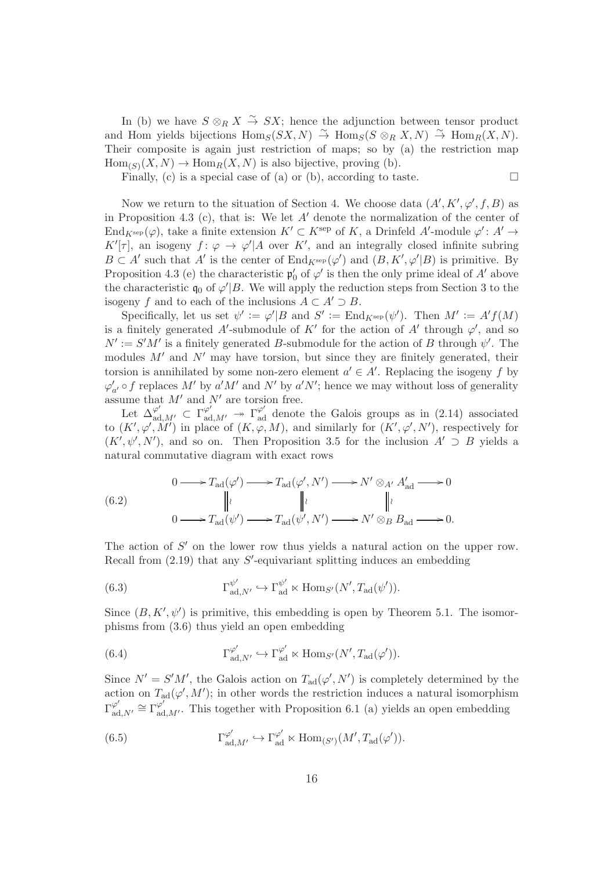In (b) we have  $S \otimes_R X \stackrel{\sim}{\to} SX$ ; hence the adjunction between tensor product and Hom yields bijections  $\text{Hom}_S(SX, N) \overset{\sim}{\to} \text{Hom}_S(S \otimes_R X, N) \overset{\sim}{\to} \text{Hom}_R(X, N)$ . Their composite is again just restriction of maps; so by (a) the restriction map  $Hom_{(S)}(X, N) \to Hom_R(X, N)$  is also bijective, proving (b).

Finally, (c) is a special case of (a) or (b), according to taste.  $\Box$ 

Now we return to the situation of Section 4. We choose data  $(A', K', \varphi', f, B)$  as in Proposition 4.3 (c), that is: We let  $A'$  denote the normalization of the center of End<sub>K</sub>sep( $\varphi$ ), take a finite extension  $K' \subset K^{\text{sep}}$  of K, a Drinfeld A'-module  $\varphi' : A' \to$ K'| $\tau$ |, an isogeny  $f: \varphi \to \varphi' | A$  over K', and an integrally closed infinite subring  $B \subset A'$  such that A' is the center of  $\text{End}_{K^{\text{sep}}}(\varphi')$  and  $(B, K', \varphi'|B)$  is primitive. By Proposition 4.3 (e) the characteristic  $\mathfrak{p}'_0$  of  $\varphi'$  is then the only prime ideal of  $A'$  above the characteristic  $\mathfrak{q}_0$  of  $\varphi'|B$ . We will apply the reduction steps from Section 3 to the isogeny f and to each of the inclusions  $A \subset A' \supset B$ .

Specifically, let us set  $\psi' := \varphi'|B$  and  $S' := \text{End}_{K^{\text{sep}}}(\psi')$ . Then  $M' := A'f(M)$ is a finitely generated A'-submodule of K' for the action of A' through  $\varphi'$ , and so  $N' := S'M'$  is a finitely generated B-submodule for the action of B through  $\psi'$ . The modules  $M'$  and  $N'$  may have torsion, but since they are finitely generated, their torsion is annihilated by some non-zero element  $a' \in A'$ . Replacing the isogeny f by  $\varphi'_{a'} \circ f$  replaces  $M'$  by  $a'M'$  and  $N'$  by  $a'N'$ ; hence we may without loss of generality assume that  $M'$  and  $N'$  are torsion free.

Let  $\Delta_{\text{ad},M'}^{\varphi'} \subset \Gamma_{\text{ad},M'}^{\varphi'} \rightarrow \Gamma_{\text{ad}}^{\varphi'}$  denote the Galois groups as in (2.14) associated to  $(K', \varphi', M')$  in place of  $(K, \varphi, M)$ , and similarly for  $(K', \varphi', N')$ , respectively for  $(K', \psi', N')$ , and so on. Then Proposition 3.5 for the inclusion  $A' \supset B$  yields a natural commutative diagram with exact rows

(6.2) 
$$
0 \longrightarrow T_{\text{ad}}(\varphi') \longrightarrow T_{\text{ad}}(\varphi', N') \longrightarrow N' \otimes_{A'} A'_{\text{ad}} \longrightarrow 0
$$

$$
\parallel \downarrow \qquad \qquad \parallel \downarrow \qquad \qquad \parallel \downarrow
$$

$$
0 \longrightarrow T_{\text{ad}}(\psi') \longrightarrow T_{\text{ad}}(\psi', N') \longrightarrow N' \otimes_B B_{\text{ad}} \longrightarrow 0.
$$

The action of  $S'$  on the lower row thus yields a natural action on the upper row. Recall from  $(2.19)$  that any  $S'$ -equivariant splitting induces an embedding

(6.3) 
$$
\Gamma_{\mathrm{ad},N'}^{\psi'} \hookrightarrow \Gamma_{\mathrm{ad}}^{\psi'} \ltimes \mathrm{Hom}_{S'}(N', T_{\mathrm{ad}}(\psi')).
$$

Since  $(B, K', \psi')$  is primitive, this embedding is open by Theorem 5.1. The isomorphisms from (3.6) thus yield an open embedding

(6.4) 
$$
\Gamma_{\mathrm{ad},N'}^{\varphi'} \hookrightarrow \Gamma_{\mathrm{ad}}^{\varphi'} \ltimes \mathrm{Hom}_{S'}(N', T_{\mathrm{ad}}(\varphi')).
$$

Since  $N' = S'M'$ , the Galois action on  $T_{\text{ad}}(\varphi', N')$  is completely determined by the action on  $T_{\rm ad}(\varphi', M')$ ; in other words the restriction induces a natural isomorphism  $\Gamma^{\varphi'}_{\rm ad}$  $\varphi'_{\text{ad},N'} \cong \Gamma_{\text{ad},M'}^{\varphi'}$ . This together with Proposition 6.1 (a) yields an open embedding

(6.5) 
$$
\Gamma_{\mathrm{ad},M'}^{\varphi'} \hookrightarrow \Gamma_{\mathrm{ad}}^{\varphi'} \ltimes \mathrm{Hom}_{(S')}(M',T_{\mathrm{ad}}(\varphi')).
$$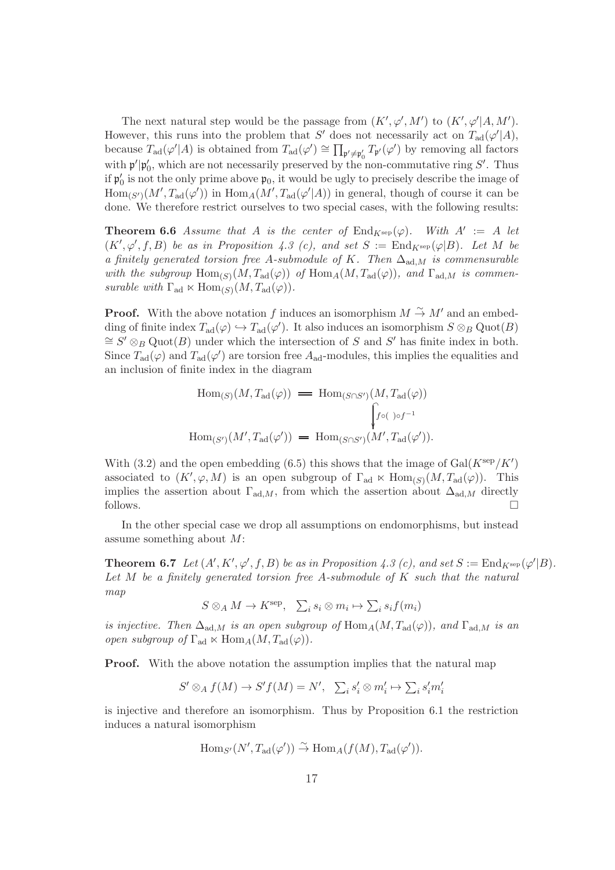The next natural step would be the passage from  $(K', \varphi', M')$  to  $(K', \varphi'|A, M')$ . However, this runs into the problem that S' does not necessarily act on  $T_{ad}(\varphi'|A)$ , because  $T_{\rm ad}(\varphi'|A)$  is obtained from  $T_{\rm ad}(\varphi') \cong \prod_{\mathfrak{p}' \neq \mathfrak{p}'_0} T_{\mathfrak{p}'}(\varphi')$  by removing all factors with  $\mathfrak{p}'|\mathfrak{p}'_0$ , which are not necessarily preserved by the non-commutative ring  $S'$ . Thus if  $\mathfrak{p}'_0$  is not the only prime above  $\mathfrak{p}_0$ , it would be ugly to precisely describe the image of  $\text{Hom}_{(S')}(M', T_{\text{ad}}(\varphi'))$  in  $\text{Hom}_A(M', T_{\text{ad}}(\varphi'|A))$  in general, though of course it can be done. We therefore restrict ourselves to two special cases, with the following results:

**Theorem 6.6** Assume that A is the center of  $\text{End}_{K^{\text{sep}}}(\varphi)$ . With  $A' := A$  let  $(K', \varphi', f, B)$  be as in Proposition 4.3 (c), and set  $S := \text{End}_{K^{\text{sep}}}(\varphi|B)$ . Let M be a finitely generated torsion free A-submodule of K. Then  $\Delta_{\text{ad},M}$  is commensurable with the subgroup  $\text{Hom}_{(S)}(M, T_{\text{ad}}(\varphi))$  of  $\text{Hom}_A(M, T_{\text{ad}}(\varphi))$ , and  $\Gamma_{\text{ad},M}$  is commensurable with  $\Gamma_{\text{ad}} \ltimes \text{Hom}_{(S)}(M, T_{\text{ad}}(\varphi)).$ 

**Proof.** With the above notation f induces an isomorphism  $M \stackrel{\sim}{\rightarrow} M'$  and an embedding of finite index  $T_{ad}(\varphi) \hookrightarrow T_{ad}(\varphi')$ . It also induces an isomorphism  $S \otimes_B \text{Quot}(B)$  $\cong$  S'  $\otimes_B$  Quot(B) under which the intersection of S and S' has finite index in both. Since  $T_{\rm ad}(\varphi)$  and  $T_{\rm ad}(\varphi')$  are torsion free  $A_{\rm ad}$ -modules, this implies the equalities and an inclusion of finite index in the diagram

$$
\text{Hom}_{(S)}(M, T_{\text{ad}}(\varphi)) = \text{Hom}_{(S \cap S')} (M, T_{\text{ad}}(\varphi))
$$
\n
$$
\int_{f \circ (\cdot) \circ f^{-1}} f_{\text{ad}}(\varphi) d\mu_{S} \cdot \text{Hom}_{(S')} (M', T_{\text{ad}}(\varphi')).
$$

With (3.2) and the open embedding (6.5) this shows that the image of  $Gal(K<sup>sep</sup>/K')$ associated to  $(K', \varphi, M)$  is an open subgroup of  $\Gamma_{ad} \ltimes \text{Hom}_{(S)}(M, T_{ad}(\varphi))$ . This implies the assertion about  $\Gamma_{\text{ad},M}$ , from which the assertion about  $\Delta_{\text{ad},M}$  directly follows.  $\Box$ 

In the other special case we drop all assumptions on endomorphisms, but instead assume something about M:

**Theorem 6.7** Let  $(A', K', \varphi', f, B)$  be as in Proposition 4.3 (c), and set  $S := \text{End}_{K^{\text{sep}}}(\varphi'|B)$ . Let M be a finitely generated torsion free A-submodule of K such that the natural map

$$
S \otimes_A M \to K^{\rm sep}, \quad \sum_i s_i \otimes m_i \mapsto \sum_i s_i f(m_i)
$$

is injective. Then  $\Delta_{ad,M}$  is an open subgroup of  $\text{Hom}_A(M, T_{ad}(\varphi))$ , and  $\Gamma_{ad,M}$  is an open subgroup of  $\Gamma_{\rm ad} \ltimes \text{Hom}_A(M, T_{\rm ad}(\varphi)).$ 

**Proof.** With the above notation the assumption implies that the natural map

$$
S' \otimes_A f(M) \to S'f(M) = N', \quad \sum_i s'_i \otimes m'_i \mapsto \sum_i s'_i m'_i
$$

is injective and therefore an isomorphism. Thus by Proposition 6.1 the restriction induces a natural isomorphism

$$
\operatorname{Hom}_{S'}(N',T_{\operatorname{ad}}(\varphi')) \stackrel{\sim}{\to} \operatorname{Hom}_A(f(M),T_{\operatorname{ad}}(\varphi')).
$$